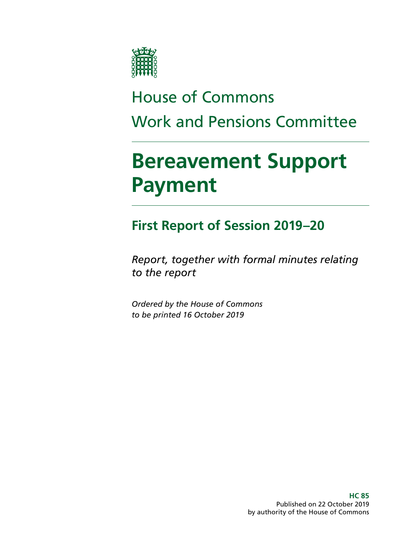

# House of Commons Work and Pensions Committee

# **Bereavement Support Payment**

## **First Report of Session 2019–20**

*Report, together with formal minutes relating to the report*

*Ordered by the House of Commons to be printed 16 October 2019*

> **HC 85** Published on 22 October 2019 by authority of the House of Commons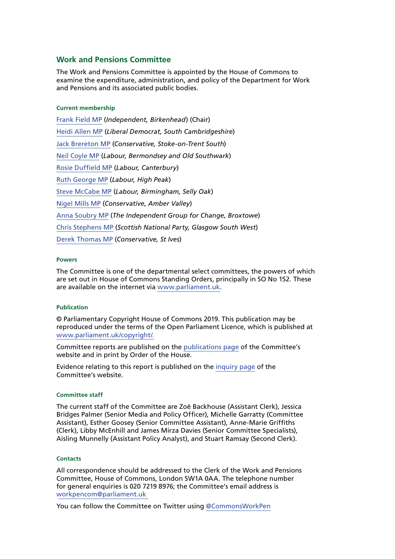#### **Work and Pensions Committee**

The Work and Pensions Committee is appointed by the House of Commons to examine the expenditure, administration, and policy of the Department for Work and Pensions and its associated public bodies.

#### **Current membership**

[Frank Field MP](https://www.parliament.uk/biographies/commons/frank-field/478) (*Independent, Birkenhead*) (Chair) [Heidi Allen MP](https://www.parliament.uk/biographies/commons/heidi-allen/4516) (*Liberal Democrat, South Cambridgeshire*) [Jack Brereton MP](https://www.parliament.uk/biographies/commons/jack-brereton/4643) (*Conservative, Stoke-on-Trent South*) [Neil Coyle MP](https://www.parliament.uk/biographies/commons/neil-coyle/4368) (*Labour, Bermondsey and Old Southwark*) [Rosie Duffield MP](https://www.parliament.uk/biographies/commons/rosie-duffield/4616) (*Labour, Canterbury*) [Ruth George MP](https://www.parliament.uk/biographies/commons/ruth-george/4662) (*Labour, High Peak*) [Steve McCabe MP](https://www.parliament.uk/biographies/commons/steve-mccabe/298) (*Labour, Birmingham, Selly Oak*) [Nigel Mills MP](https://www.parliament.uk/biographies/commons/nigel-mills/4136) (*Conservative, Amber Valley*) [Anna Soubry MP](https://www.parliament.uk/biographies/commons/anna-soubry/3938) (*The Independent Group for Change, Broxtowe*) [Chris Stephens MP](https://www.parliament.uk/biographies/commons/chris-stephens/4463) (*Scottish National Party, Glasgow South West*) [Derek Thomas MP](https://www.parliament.uk/biographies/commons/derek-thomas/4532) (*Conservative, St Ives*)

#### **Powers**

The Committee is one of the departmental select committees, the powers of which are set out in House of Commons Standing Orders, principally in SO No 152. These are available on the internet via [www.parliament.uk.](https://www.parliament.uk/)

#### **Publication**

© Parliamentary Copyright House of Commons 2019. This publication may be reproduced under the terms of the Open Parliament Licence, which is published at [www.parliament.uk/copyright/.](https://www.parliament.uk/copyright/)

Committee reports are published on the [publications page](https://www.parliament.uk/business/committees/committees-a-z/commons-select/work-and-pensions-committee/inquiries/parliament-2017/inquiry/publications/) of the Committee's website and in print by Order of the House.

Evidence relating to this report is published on the [inquiry page](https://www.parliament.uk/business/committees/committees-a-z/commons-select/work-and-pensions-committee/inquiries/parliament-2017/inquiry3/publications/) of the Committee's website.

#### **Committee staff**

The current staff of the Committee are Zoë Backhouse (Assistant Clerk), Jessica Bridges Palmer (Senior Media and Policy Officer), Michelle Garratty (Committee Assistant), Esther Goosey (Senior Committee Assistant), Anne-Marie Griffiths (Clerk), Libby McEnhill and James Mirza Davies (Senior Committee Specialists), Aisling Munnelly (Assistant Policy Analyst), and Stuart Ramsay (Second Clerk).

#### **Contacts**

All correspondence should be addressed to the Clerk of the Work and Pensions Committee, House of Commons, London SW1A 0AA. The telephone number for general enquiries is 020 7219 8976; the Committee's email address is [workpencom@parliament.uk](mailto:workpencom%40parliament.uk?subject=)

You can follow the Committee on Twitter using [@CommonsWorkPen](https://twitter.com/CommonsWorkPen)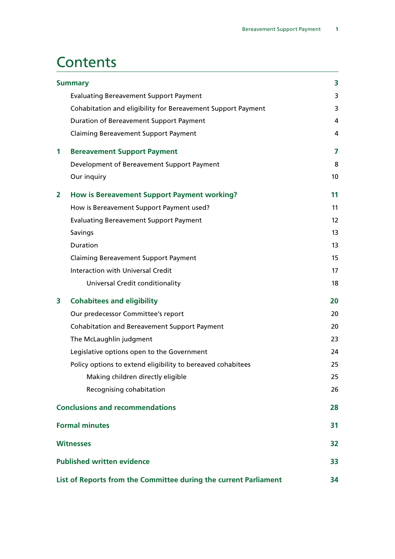## **Contents**

| <b>Summary</b> |                                                                  | 3  |
|----------------|------------------------------------------------------------------|----|
|                | <b>Evaluating Bereavement Support Payment</b>                    | 3  |
|                | Cohabitation and eligibility for Bereavement Support Payment     | 3  |
|                | Duration of Bereavement Support Payment                          | 4  |
|                | <b>Claiming Bereavement Support Payment</b>                      | 4  |
| 1              | <b>Bereavement Support Payment</b>                               | 7  |
|                | Development of Bereavement Support Payment                       | 8  |
|                | Our inquiry                                                      | 10 |
| $\mathbf{z}$   | How is Bereavement Support Payment working?                      | 11 |
|                | How is Bereavement Support Payment used?                         | 11 |
|                | <b>Evaluating Bereavement Support Payment</b>                    | 12 |
|                | Savings                                                          | 13 |
|                | <b>Duration</b>                                                  | 13 |
|                | <b>Claiming Bereavement Support Payment</b>                      | 15 |
|                | <b>Interaction with Universal Credit</b>                         | 17 |
|                | Universal Credit conditionality                                  | 18 |
| 3              | <b>Cohabitees and eligibility</b>                                | 20 |
|                | Our predecessor Committee's report                               | 20 |
|                | <b>Cohabitation and Bereavement Support Payment</b>              | 20 |
|                | The McLaughlin judgment                                          | 23 |
|                | Legislative options open to the Government                       | 24 |
|                | Policy options to extend eligibility to bereaved cohabitees      | 25 |
|                | Making children directly eligible                                | 25 |
|                | Recognising cohabitation                                         | 26 |
|                | <b>Conclusions and recommendations</b>                           | 28 |
|                | <b>Formal minutes</b>                                            | 31 |
|                | <b>Witnesses</b>                                                 | 32 |
|                | <b>Published written evidence</b>                                | 33 |
|                | List of Reports from the Committee during the current Parliament | 34 |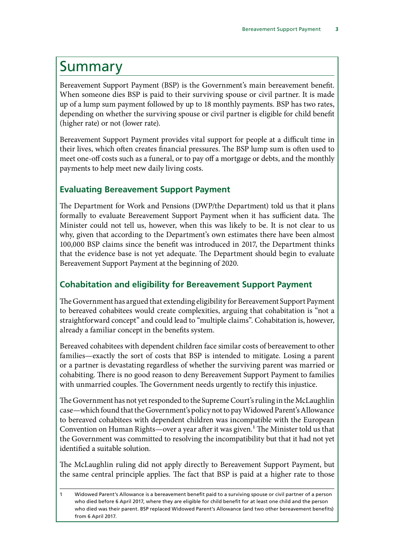## <span id="page-4-0"></span>Summary

Bereavement Support Payment (BSP) is the Government's main bereavement benefit. When someone dies BSP is paid to their surviving spouse or civil partner. It is made up of a lump sum payment followed by up to 18 monthly payments. BSP has two rates, depending on whether the surviving spouse or civil partner is eligible for child benefit (higher rate) or not (lower rate).

Bereavement Support Payment provides vital support for people at a difficult time in their lives, which often creates financial pressures. The BSP lump sum is often used to meet one-off costs such as a funeral, or to pay off a mortgage or debts, and the monthly payments to help meet new daily living costs.

## **Evaluating Bereavement Support Payment**

The Department for Work and Pensions (DWP/the Department) told us that it plans formally to evaluate Bereavement Support Payment when it has sufficient data. The Minister could not tell us, however, when this was likely to be. It is not clear to us why, given that according to the Department's own estimates there have been almost 100,000 BSP claims since the benefit was introduced in 2017, the Department thinks that the evidence base is not yet adequate. The Department should begin to evaluate Bereavement Support Payment at the beginning of 2020.

## **Cohabitation and eligibility for Bereavement Support Payment**

The Government has argued that extending eligibility for Bereavement Support Payment to bereaved cohabitees would create complexities, arguing that cohabitation is "not a straightforward concept" and could lead to "multiple claims". Cohabitation is, however, already a familiar concept in the benefits system.

Bereaved cohabitees with dependent children face similar costs of bereavement to other families—exactly the sort of costs that BSP is intended to mitigate. Losing a parent or a partner is devastating regardless of whether the surviving parent was married or cohabiting. There is no good reason to deny Bereavement Support Payment to families with unmarried couples. The Government needs urgently to rectify this injustice.

The Government has not yet responded to the Supreme Court's ruling in the McLaughlin case—which found that the Government's policy not to pay Widowed Parent's Allowance to bereaved cohabitees with dependent children was incompatible with the European Convention on Human Rights—over a year after it was given.<sup>1</sup> The Minister told us that the Government was committed to resolving the incompatibility but that it had not yet identified a suitable solution.

The McLaughlin ruling did not apply directly to Bereavement Support Payment, but the same central principle applies. The fact that BSP is paid at a higher rate to those

<sup>1</sup> Widowed Parent's Allowance is a bereavement benefit paid to a surviving spouse or civil partner of a person who died before 6 April 2017, where they are eligible for child benefit for at least one child and the person who died was their parent. BSP replaced Widowed Parent's Allowance (and two other bereavement benefits) from 6 April 2017.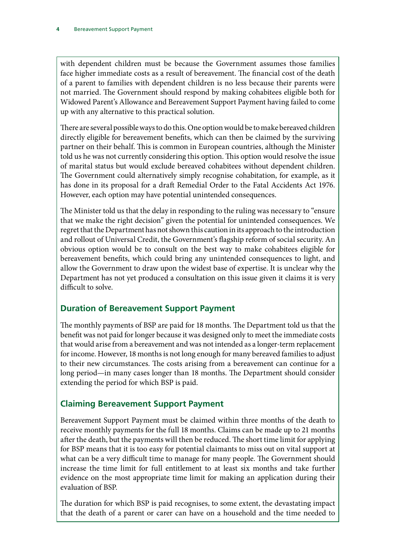<span id="page-5-0"></span>with dependent children must be because the Government assumes those families face higher immediate costs as a result of bereavement. The financial cost of the death of a parent to families with dependent children is no less because their parents were not married. The Government should respond by making cohabitees eligible both for Widowed Parent's Allowance and Bereavement Support Payment having failed to come up with any alternative to this practical solution.

There are several possible ways to do this. One option would be to make bereaved children directly eligible for bereavement benefits, which can then be claimed by the surviving partner on their behalf. This is common in European countries, although the Minister told us he was not currently considering this option. This option would resolve the issue of marital status but would exclude bereaved cohabitees without dependent children. The Government could alternatively simply recognise cohabitation, for example, as it has done in its proposal for a draft Remedial Order to the Fatal Accidents Act 1976. However, each option may have potential unintended consequences.

The Minister told us that the delay in responding to the ruling was necessary to "ensure that we make the right decision" given the potential for unintended consequences. We regret that the Department has not shown this caution in its approach to the introduction and rollout of Universal Credit, the Government's flagship reform of social security. An obvious option would be to consult on the best way to make cohabitees eligible for bereavement benefits, which could bring any unintended consequences to light, and allow the Government to draw upon the widest base of expertise. It is unclear why the Department has not yet produced a consultation on this issue given it claims it is very difficult to solve.

## **Duration of Bereavement Support Payment**

The monthly payments of BSP are paid for 18 months. The Department told us that the benefit was not paid for longer because it was designed only to meet the immediate costs that would arise from a bereavement and was not intended as a longer-term replacement for income. However, 18 months is not long enough for many bereaved families to adjust to their new circumstances. The costs arising from a bereavement can continue for a long period—in many cases longer than 18 months. The Department should consider extending the period for which BSP is paid.

## **Claiming Bereavement Support Payment**

Bereavement Support Payment must be claimed within three months of the death to receive monthly payments for the full 18 months. Claims can be made up to 21 months after the death, but the payments will then be reduced. The short time limit for applying for BSP means that it is too easy for potential claimants to miss out on vital support at what can be a very difficult time to manage for many people. The Government should increase the time limit for full entitlement to at least six months and take further evidence on the most appropriate time limit for making an application during their evaluation of BSP.

The duration for which BSP is paid recognises, to some extent, the devastating impact that the death of a parent or carer can have on a household and the time needed to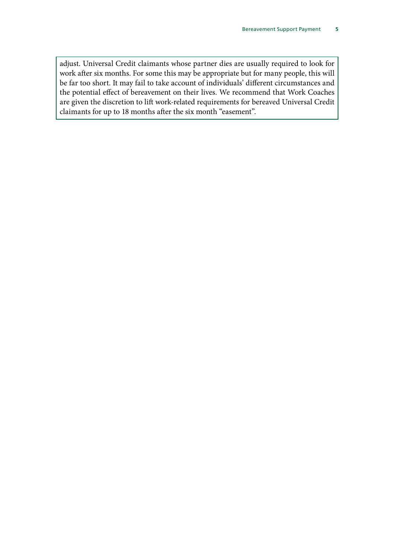adjust. Universal Credit claimants whose partner dies are usually required to look for work after six months. For some this may be appropriate but for many people, this will be far too short. It may fail to take account of individuals' different circumstances and the potential effect of bereavement on their lives. We recommend that Work Coaches are given the discretion to lift work-related requirements for bereaved Universal Credit claimants for up to 18 months after the six month "easement".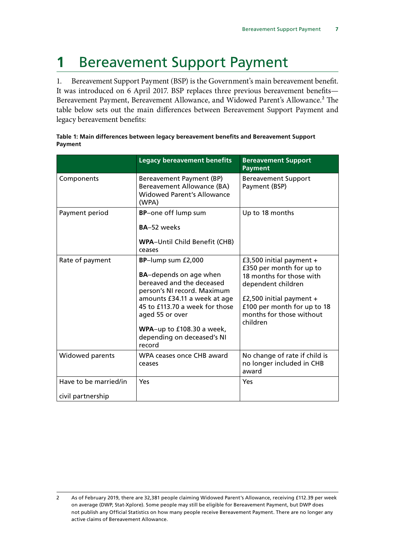## <span id="page-8-0"></span>**1** Bereavement Support Payment

1. Bereavement Support Payment (BSP) is the Government's main bereavement benefit. It was introduced on 6 April 2017. BSP replaces three previous bereavement benefits— Bereavement Payment, Bereavement Allowance, and Widowed Parent's Allowance.<sup>2</sup> The table below sets out the main differences between Bereavement Support Payment and legacy bereavement benefits:

|                                            | <b>Legacy bereavement benefits</b>                                                                                                                                                                                                                                        | <b>Bereavement Support</b><br><b>Payment</b>                                                                                                                                                                  |
|--------------------------------------------|---------------------------------------------------------------------------------------------------------------------------------------------------------------------------------------------------------------------------------------------------------------------------|---------------------------------------------------------------------------------------------------------------------------------------------------------------------------------------------------------------|
| Components                                 | Bereavement Payment (BP)<br><b>Bereavement Allowance (BA)</b><br><b>Widowed Parent's Allowance</b><br>(WPA)                                                                                                                                                               | <b>Bereavement Support</b><br>Payment (BSP)                                                                                                                                                                   |
| Payment period                             | BP-one off lump sum<br>BA-52 weeks<br><b>WPA-Until Child Benefit (CHB)</b><br>ceases                                                                                                                                                                                      | Up to 18 months                                                                                                                                                                                               |
| Rate of payment                            | BP-lump sum £2,000<br><b>BA-depends on age when</b><br>bereaved and the deceased<br>person's NI record. Maximum<br>amounts £34.11 a week at age<br>45 to £113.70 a week for those<br>aged 55 or over<br>WPA-up to £108.30 a week,<br>depending on deceased's NI<br>record | £3,500 initial payment $+$<br>£350 per month for up to<br>18 months for those with<br>dependent children<br>£2,500 initial payment $+$<br>£100 per month for up to 18<br>months for those without<br>children |
| Widowed parents                            | WPA ceases once CHB award<br>ceases                                                                                                                                                                                                                                       | No change of rate if child is<br>no longer included in CHB<br>award                                                                                                                                           |
| Have to be married/in<br>civil partnership | Yes                                                                                                                                                                                                                                                                       | Yes                                                                                                                                                                                                           |

| Table 1: Main differences between legacy bereavement benefits and Bereavement Support |  |
|---------------------------------------------------------------------------------------|--|
| Payment                                                                               |  |

<sup>2</sup> As of February 2019, there are 32,381 people claiming Widowed Parent's Allowance, receiving £112.39 per week on average (DWP, Stat-Xplore). Some people may still be eligible for Bereavement Payment, but DWP does not publish any Official Statistics on how many people receive Bereavement Payment. There are no longer any active claims of Bereavement Allowance.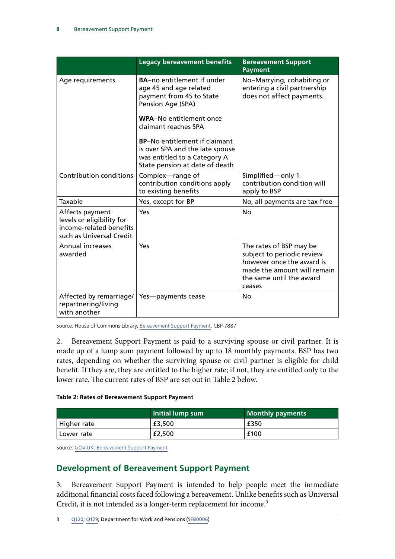<span id="page-9-0"></span>

|                                                                                                     | <b>Legacy bereavement benefits</b>                                                                                                                                                                                                                                                                           | <b>Bereavement Support</b><br><b>Payment</b>                                                                                                            |
|-----------------------------------------------------------------------------------------------------|--------------------------------------------------------------------------------------------------------------------------------------------------------------------------------------------------------------------------------------------------------------------------------------------------------------|---------------------------------------------------------------------------------------------------------------------------------------------------------|
| Age requirements                                                                                    | <b>BA-no entitlement if under</b><br>age 45 and age related<br>payment from 45 to State<br>Pension Age (SPA)<br>WPA-No entitlement once<br>claimant reaches SPA<br><b>BP-No entitlement if claimant</b><br>is over SPA and the late spouse<br>was entitled to a Category A<br>State pension at date of death | No-Marrying, cohabiting or<br>entering a civil partnership<br>does not affect payments.                                                                 |
| <b>Contribution conditions</b>                                                                      | Complex-range of<br>contribution conditions apply<br>to existing benefits                                                                                                                                                                                                                                    | Simplified-only 1<br>contribution condition will<br>apply to BSP                                                                                        |
| Taxable                                                                                             | Yes, except for BP                                                                                                                                                                                                                                                                                           | No, all payments are tax-free                                                                                                                           |
| Affects payment<br>levels or eligibility for<br>income-related benefits<br>such as Universal Credit | Yes                                                                                                                                                                                                                                                                                                          | <b>No</b>                                                                                                                                               |
| <b>Annual increases</b><br>awarded                                                                  | Yes                                                                                                                                                                                                                                                                                                          | The rates of BSP may be<br>subject to periodic review<br>however once the award is<br>made the amount will remain<br>the same until the award<br>ceases |
| Affected by remarriage/<br>repartnering/living<br>with another                                      | Yes-payments cease                                                                                                                                                                                                                                                                                           | Nο                                                                                                                                                      |

Source: House of Commons Library, [Bereavement Support Payment,](https://researchbriefings.parliament.uk/ResearchBriefing/Summary/CBP-7887) CBP-7887

2. Bereavement Support Payment is paid to a surviving spouse or civil partner. It is made up of a lump sum payment followed by up to 18 monthly payments. BSP has two rates, depending on whether the surviving spouse or civil partner is eligible for child benefit. If they are, they are entitled to the higher rate; if not, they are entitled only to the lower rate. The current rates of BSP are set out in Table 2 below.

#### **Table 2: Rates of Bereavement Support Payment**

|              | Initial lump sum | Monthly payments |
|--------------|------------------|------------------|
| Higher rate  | £3,500           | £350             |
| l Lower rate | £2,500           | £100             |

Source: [GOV.UK: Bereavement Support Payment](https://www.gov.uk/bereavement-support-payment/what-youll-get)

### **Development of Bereavement Support Payment**

3. Bereavement Support Payment is intended to help people meet the immediate additional financial costs faced following a bereavement. Unlike benefits such as Universal Credit, it is not intended as a longer-term replacement for income.<sup>3</sup>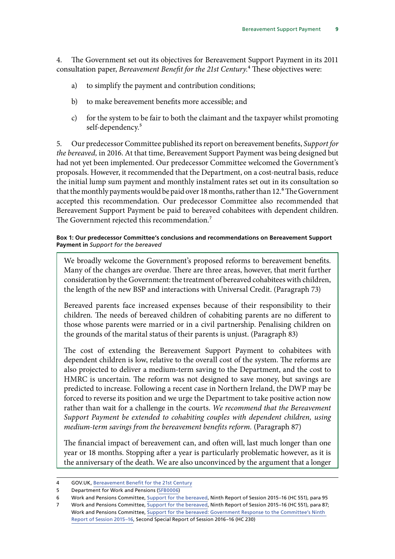4. The Government set out its objectives for Bereavement Support Payment in its 2011 consultation paper, *Bereavement Benefit for the 21st Century*.4 These objectives were:

- a) to simplify the payment and contribution conditions;
- b) to make bereavement benefits more accessible; and
- c) for the system to be fair to both the claimant and the taxpayer whilst promoting self-dependency.<sup>5</sup>

5. Our predecessor Committee published its report on bereavement benefits, *Support for the bereaved,* in 2016. At that time, Bereavement Support Payment was being designed but had not yet been implemented. Our predecessor Committee welcomed the Government's proposals. However, it recommended that the Department, on a cost-neutral basis, reduce the initial lump sum payment and monthly instalment rates set out in its consultation so that the monthly payments would be paid over 18 months, rather than 12.<sup>6</sup> The Government accepted this recommendation. Our predecessor Committee also recommended that Bereavement Support Payment be paid to bereaved cohabitees with dependent children. The Government rejected this recommendation.<sup>7</sup>

#### **Box 1: Our predecessor Committee's conclusions and recommendations on Bereavement Support Payment in** *Support for the bereaved*

We broadly welcome the Government's proposed reforms to bereavement benefits. Many of the changes are overdue. There are three areas, however, that merit further consideration by the Government: the treatment of bereaved cohabitees with children, the length of the new BSP and interactions with Universal Credit. (Paragraph 73)

Bereaved parents face increased expenses because of their responsibility to their children. The needs of bereaved children of cohabiting parents are no different to those whose parents were married or in a civil partnership. Penalising children on the grounds of the marital status of their parents is unjust. (Paragraph 83)

The cost of extending the Bereavement Support Payment to cohabitees with dependent children is low, relative to the overall cost of the system. The reforms are also projected to deliver a medium-term saving to the Department, and the cost to HMRC is uncertain. The reform was not designed to save money, but savings are predicted to increase. Following a recent case in Northern Ireland, the DWP may be forced to reverse its position and we urge the Department to take positive action now rather than wait for a challenge in the courts. *We recommend that the Bereavement Support Payment be extended to cohabiting couples with dependent children, using medium-term savings from the bereavement benefits reform.* (Paragraph 87)

The financial impact of bereavement can, and often will, last much longer than one year or 18 months. Stopping after a year is particularly problematic however, as it is the anniversary of the death. We are also unconvinced by the argument that a longer

6 Work and Pensions Committee, [Support for the bereaved](https://publications.parliament.uk/pa/cm201516/cmselect/cmworpen/551/551.pdf), Ninth Report of Session 2015–16 (HC 551), para 95

<sup>4</sup> GOV.UK, [Bereavement Benefit for the 21st Century](https://www.gov.uk/government/consultations/bereavement-benefit-for-the-21st-century)

<sup>5</sup> Department for Work and Pensions ([SFB0006](http://data.parliament.uk/writtenevidence/committeeevidence.svc/evidencedocument/work-and-pensions-committee/support-for-the-bereaved/written/102155.html))

<sup>7</sup> Work and Pensions Committee, [Support for the bereaved](https://publications.parliament.uk/pa/cm201516/cmselect/cmworpen/551/551.pdf), Ninth Report of Session 2015–16 (HC 551), para 87; Work and Pensions Committee, [Support for the bereaved: Government Response to the Committee's Ninth](https://publications.parliament.uk/pa/cm201617/cmselect/cmworpen/230/230.pdf)  [Report of Session 2015–16,](https://publications.parliament.uk/pa/cm201617/cmselect/cmworpen/230/230.pdf) Second Special Report of Session 2016–16 (HC 230)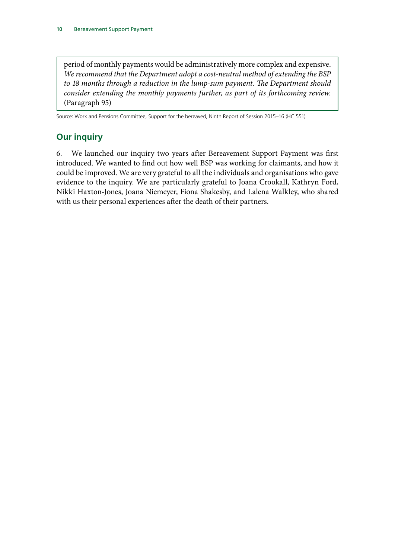<span id="page-11-0"></span>period of monthly payments would be administratively more complex and expensive. *We recommend that the Department adopt a cost-neutral method of extending the BSP to 18 months through a reduction in the lump-sum payment. The Department should consider extending the monthly payments further, as part of its forthcoming review.* (Paragraph 95)

Source: Work and Pensions Committee, Support for the bereaved, Ninth Report of Session 2015–16 (HC 551)

## **Our inquiry**

6. We launched our inquiry two years after Bereavement Support Payment was first introduced. We wanted to find out how well BSP was working for claimants, and how it could be improved. We are very grateful to all the individuals and organisations who gave evidence to the inquiry. We are particularly grateful to Joana Crookall, Kathryn Ford, Nikki Haxton-Jones, Joana Niemeyer, Fiona Shakesby, and Lalena Walkley, who shared with us their personal experiences after the death of their partners.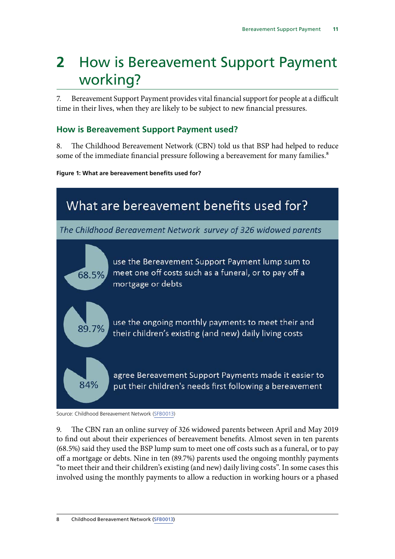## <span id="page-12-0"></span>**2** How is Bereavement Support Payment working?

7. Bereavement Support Payment provides vital financial support for people at a difficult time in their lives, when they are likely to be subject to new financial pressures.

## **How is Bereavement Support Payment used?**

8. The Childhood Bereavement Network (CBN) told us that BSP had helped to reduce some of the immediate financial pressure following a bereavement for many families.<sup>8</sup>

**Figure 1: What are bereavement benefits used for?**



Source: Childhood Bereavement Network [\(SFB0013\)](http://data.parliament.uk/writtenevidence/committeeevidence.svc/evidencedocument/work-and-pensions-committee/support-for-the-bereaved/written/102338.html)

9. The CBN ran an online survey of 326 widowed parents between April and May 2019 to find out about their experiences of bereavement benefits. Almost seven in ten parents (68.5%) said they used the BSP lump sum to meet one off costs such as a funeral, or to pay off a mortgage or debts. Nine in ten (89.7%) parents used the ongoing monthly payments "to meet their and their children's existing (and new) daily living costs". In some cases this involved using the monthly payments to allow a reduction in working hours or a phased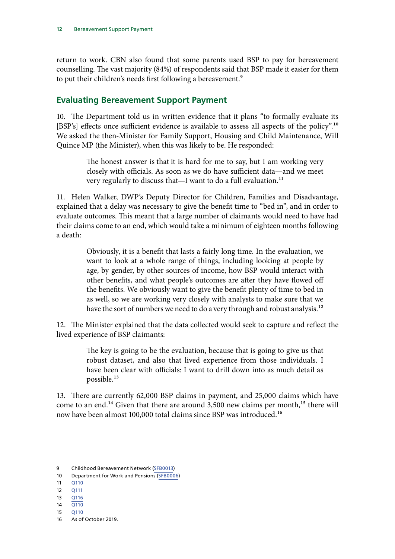<span id="page-13-0"></span>return to work. CBN also found that some parents used BSP to pay for bereavement counselling. The vast majority (84%) of respondents said that BSP made it easier for them to put their children's needs first following a bereavement.<sup>9</sup>

### **Evaluating Bereavement Support Payment**

10. The Department told us in written evidence that it plans "to formally evaluate its [BSP's] effects once sufficient evidence is available to assess all aspects of the policy".10 We asked the then-Minister for Family Support, Housing and Child Maintenance, Will Quince MP (the Minister), when this was likely to be. He responded:

> The honest answer is that it is hard for me to say, but I am working very closely with officials. As soon as we do have sufficient data—and we meet very regularly to discuss that—I want to do a full evaluation.<sup>11</sup>

11. Helen Walker, DWP's Deputy Director for Children, Families and Disadvantage, explained that a delay was necessary to give the benefit time to "bed in", and in order to evaluate outcomes. This meant that a large number of claimants would need to have had their claims come to an end, which would take a minimum of eighteen months following a death:

> Obviously, it is a benefit that lasts a fairly long time. In the evaluation, we want to look at a whole range of things, including looking at people by age, by gender, by other sources of income, how BSP would interact with other benefits, and what people's outcomes are after they have flowed off the benefits. We obviously want to give the benefit plenty of time to bed in as well, so we are working very closely with analysts to make sure that we have the sort of numbers we need to do a very through and robust analysis.<sup>12</sup>

12. The Minister explained that the data collected would seek to capture and reflect the lived experience of BSP claimants:

> The key is going to be the evaluation, because that is going to give us that robust dataset, and also that lived experience from those individuals. I have been clear with officials: I want to drill down into as much detail as possible.13

13. There are currently 62,000 BSP claims in payment, and 25,000 claims which have come to an end.<sup>14</sup> Given that there are around 3,500 new claims per month,<sup>15</sup> there will now have been almost 100,000 total claims since BSP was introduced.16

- 13  $\overline{O116}$
- 14 [Q110](http://data.parliament.uk/writtenevidence/committeeevidence.svc/evidencedocument/work-and-pensions-committee/support-for-the-bereaved/oral/103885.html)
- 15 [Q110](http://data.parliament.uk/writtenevidence/committeeevidence.svc/evidencedocument/work-and-pensions-committee/support-for-the-bereaved/oral/103885.html)

<sup>9</sup> Childhood Bereavement Network [\(SFB0013](http://data.parliament.uk/writtenevidence/committeeevidence.svc/evidencedocument/work-and-pensions-committee/support-for-the-bereaved/written/102338.html))

<sup>10</sup> Department for Work and Pensions ([SFB0006](http://data.parliament.uk/writtenevidence/committeeevidence.svc/evidencedocument/work-and-pensions-committee/support-for-the-bereaved/written/102155.html))

<sup>11</sup> [Q110](http://data.parliament.uk/writtenevidence/committeeevidence.svc/evidencedocument/work-and-pensions-committee/support-for-the-bereaved/oral/103885.html)

<sup>12</sup> [Q111](http://data.parliament.uk/writtenevidence/committeeevidence.svc/evidencedocument/work-and-pensions-committee/support-for-the-bereaved/oral/103885.html)

<sup>16</sup> As of October 2019.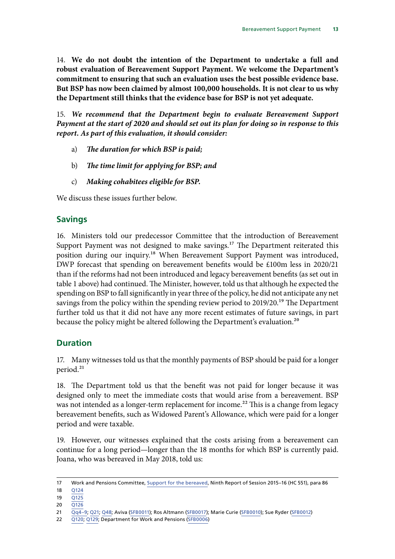<span id="page-14-0"></span>14. **We do not doubt the intention of the Department to undertake a full and robust evaluation of Bereavement Support Payment. We welcome the Department's commitment to ensuring that such an evaluation uses the best possible evidence base. But BSP has now been claimed by almost 100,000 households. It is not clear to us why the Department still thinks that the evidence base for BSP is not yet adequate.**

15. *We recommend that the Department begin to evaluate Bereavement Support Payment at the start of 2020 and should set out its plan for doing so in response to this report. As part of this evaluation, it should consider:*

- a) *The duration for which BSP is paid*;
- b) The time limit for applying for BSP; and
- c) *Making cohabitees eligible for BSP.*

We discuss these issues further below.

#### **Savings**

16. Ministers told our predecessor Committee that the introduction of Bereavement Support Payment was not designed to make savings.<sup>17</sup> The Department reiterated this position during our inquiry.18 When Bereavement Support Payment was introduced, DWP forecast that spending on bereavement benefits would be £100m less in 2020/21 than if the reforms had not been introduced and legacy bereavement benefits (as set out in table 1 above) had continued. The Minister, however, told us that although he expected the spending on BSP to fall significantly in year three of the policy, he did not anticipate any net savings from the policy within the spending review period to 2019/20.<sup>19</sup> The Department further told us that it did not have any more recent estimates of future savings, in part because the policy might be altered following the Department's evaluation.<sup>20</sup>

### **Duration**

17. Many witnesses told us that the monthly payments of BSP should be paid for a longer period.<sup>21</sup>

18. The Department told us that the benefit was not paid for longer because it was designed only to meet the immediate costs that would arise from a bereavement. BSP was not intended as a longer-term replacement for income.<sup>22</sup> This is a change from legacy bereavement benefits, such as Widowed Parent's Allowance, which were paid for a longer period and were taxable.

19. However, our witnesses explained that the costs arising from a bereavement can continue for a long period—longer than the 18 months for which BSP is currently paid. Joana, who was bereaved in May 2018, told us:

<sup>17</sup> Work and Pensions Committee, [Support for the bereaved](https://publications.parliament.uk/pa/cm201516/cmselect/cmworpen/551/551.pdf), Ninth Report of Session 2015–16 (HC 551), para 86

<sup>18</sup> [Q124](http://data.parliament.uk/writtenevidence/committeeevidence.svc/evidencedocument/work-and-pensions-committee/support-for-the-bereaved/oral/103885.html)

<sup>19</sup>  $\overline{O125}$ 

<sup>20</sup> [Q126](http://data.parliament.uk/writtenevidence/committeeevidence.svc/evidencedocument/work-and-pensions-committee/support-for-the-bereaved/oral/103885.html)

<sup>21</sup> [Qq4–9](http://data.parliament.uk/writtenevidence/committeeevidence.svc/evidencedocument/work-and-pensions-committee/support-for-the-bereaved/oral/102802.html); [Q21](http://data.parliament.uk/writtenevidence/committeeevidence.svc/evidencedocument/work-and-pensions-committee/support-for-the-bereaved/oral/102802.html); [Q48](http://data.parliament.uk/writtenevidence/committeeevidence.svc/evidencedocument/work-and-pensions-committee/support-for-the-bereaved/oral/102802.html); Aviva ([SFB0011](http://data.parliament.uk/writtenevidence/committeeevidence.svc/evidencedocument/work-and-pensions-committee/support-for-the-bereaved/written/102236.html)); Ros Altmann ([SFB0017\)](http://data.parliament.uk/writtenevidence/committeeevidence.svc/evidencedocument/work-and-pensions-committee/support-for-the-bereaved/written/102595.html); Marie Curie ([SFB0010](http://data.parliament.uk/writtenevidence/committeeevidence.svc/evidencedocument/work-and-pensions-committee/support-for-the-bereaved/written/102221.html)); Sue Ryder ([SFB0012\)](http://data.parliament.uk/writtenevidence/committeeevidence.svc/evidencedocument/work-and-pensions-committee/support-for-the-bereaved/written/102262.html)

<sup>22</sup> [Q120;](http://data.parliament.uk/writtenevidence/committeeevidence.svc/evidencedocument/work-and-pensions-committee/support-for-the-bereaved/oral/103885.html) [Q129](http://data.parliament.uk/writtenevidence/committeeevidence.svc/evidencedocument/work-and-pensions-committee/support-for-the-bereaved/oral/103885.html); Department for Work and Pensions [\(SFB0006\)](http://data.parliament.uk/writtenevidence/committeeevidence.svc/evidencedocument/work-and-pensions-committee/support-for-the-bereaved/written/102155.html)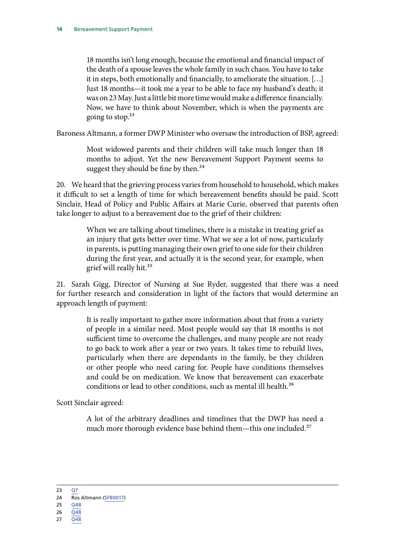18 months isn't long enough, because the emotional and financial impact of the death of a spouse leaves the whole family in such chaos. You have to take it in steps, both emotionally and financially, to ameliorate the situation. […] Just 18 months—it took me a year to be able to face my husband's death; it was on 23 May. Just a little bit more time would make a difference financially. Now, we have to think about November, which is when the payments are going to stop. $23$ 

Baroness Altmann, a former DWP Minister who oversaw the introduction of BSP, agreed:

Most widowed parents and their children will take much longer than 18 months to adjust. Yet the new Bereavement Support Payment seems to suggest they should be fine by then.<sup>24</sup>

20. We heard that the grieving process varies from household to household, which makes it difficult to set a length of time for which bereavement benefits should be paid. Scott Sinclair, Head of Policy and Public Affairs at Marie Curie, observed that parents often take longer to adjust to a bereavement due to the grief of their children:

> When we are talking about timelines, there is a mistake in treating grief as an injury that gets better over time. What we see a lot of now, particularly in parents, is putting managing their own grief to one side for their children during the first year, and actually it is the second year, for example, when grief will really hit.25

21. Sarah Gigg, Director of Nursing at Sue Ryder, suggested that there was a need for further research and consideration in light of the factors that would determine an approach length of payment:

> It is really important to gather more information about that from a variety of people in a similar need. Most people would say that 18 months is not sufficient time to overcome the challenges, and many people are not ready to go back to work after a year or two years. It takes time to rebuild lives, particularly when there are dependants in the family, be they children or other people who need caring for. People have conditions themselves and could be on medication. We know that bereavement can exacerbate conditions or lead to other conditions, such as mental ill health.<sup>26</sup>

Scott Sinclair agreed:

A lot of the arbitrary deadlines and timelines that the DWP has need a much more thorough evidence base behind them—this one included.<sup>27</sup>

<sup>23</sup> [Q7](http://data.parliament.uk/writtenevidence/committeeevidence.svc/evidencedocument/work-and-pensions-committee/support-for-the-bereaved/oral/102802.html)

<sup>24</sup> Ros Altmann ([SFB0017\)](http://data.parliament.uk/writtenevidence/committeeevidence.svc/evidencedocument/work-and-pensions-committee/support-for-the-bereaved/written/102595.html) 25 [Q48](http://data.parliament.uk/writtenevidence/committeeevidence.svc/evidencedocument/work-and-pensions-committee/support-for-the-bereaved/oral/102802.html)

<sup>26</sup> [Q48](http://data.parliament.uk/writtenevidence/committeeevidence.svc/evidencedocument/work-and-pensions-committee/support-for-the-bereaved/oral/102802.html)

<sup>27</sup> [Q48](http://data.parliament.uk/writtenevidence/committeeevidence.svc/evidencedocument/work-and-pensions-committee/support-for-the-bereaved/oral/102802.html)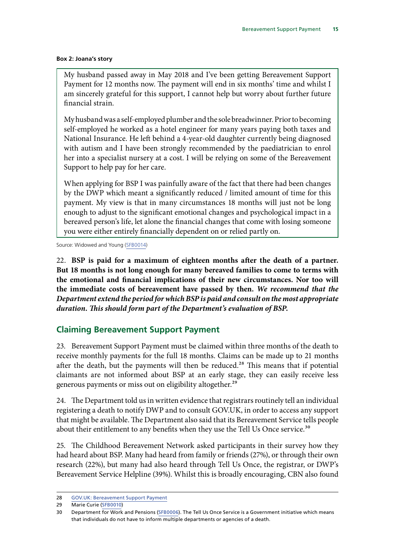#### <span id="page-16-0"></span>**Box 2: Joana's story**

My husband passed away in May 2018 and I've been getting Bereavement Support Payment for 12 months now. The payment will end in six months' time and whilst I am sincerely grateful for this support, I cannot help but worry about further future financial strain.

My husband was a self-employed plumber and the sole breadwinner. Prior to becoming self-employed he worked as a hotel engineer for many years paying both taxes and National Insurance. He left behind a 4-year-old daughter currently being diagnosed with autism and I have been strongly recommended by the paediatrician to enrol her into a specialist nursery at a cost. I will be relying on some of the Bereavement Support to help pay for her care.

When applying for BSP I was painfully aware of the fact that there had been changes by the DWP which meant a significantly reduced / limited amount of time for this payment. My view is that in many circumstances 18 months will just not be long enough to adjust to the significant emotional changes and psychological impact in a bereaved person's life, let alone the financial changes that come with losing someone you were either entirely financially dependent on or relied partly on.

Source: Widowed and Young [\(SFB0014](http://data.parliament.uk/writtenevidence/committeeevidence.svc/evidencedocument/work-and-pensions-committee/support-for-the-bereaved/written/102341.html))

22. **BSP is paid for a maximum of eighteen months after the death of a partner. But 18 months is not long enough for many bereaved families to come to terms with the emotional and financial implications of their new circumstances. Nor too will the immediate costs of bereavement have passed by then.** *We recommend that the Department extend the period for which BSP is paid and consult on the most appropriate duration. This should form part of the Department's evaluation of BSP.*

### **Claiming Bereavement Support Payment**

23. Bereavement Support Payment must be claimed within three months of the death to receive monthly payments for the full 18 months. Claims can be made up to 21 months after the death, but the payments will then be reduced.<sup>28</sup> This means that if potential claimants are not informed about BSP at an early stage, they can easily receive less generous payments or miss out on eligibility altogether.<sup>29</sup>

24. The Department told us in written evidence that registrars routinely tell an individual registering a death to notify DWP and to consult GOV.UK, in order to access any support that might be available. The Department also said that its Bereavement Service tells people about their entitlement to any benefits when they use the Tell Us Once service.<sup>30</sup>

25. The Childhood Bereavement Network asked participants in their survey how they had heard about BSP. Many had heard from family or friends (27%), or through their own research (22%), but many had also heard through Tell Us Once, the registrar, or DWP's Bereavement Service Helpline (39%). Whilst this is broadly encouraging, CBN also found

<sup>28</sup> [GOV.UK: Bereavement Support Payment](https://www.gov.uk/bereavement-support-payment/what-youll-get)

<sup>29</sup> Marie Curie ([SFB0010](http://data.parliament.uk/writtenevidence/committeeevidence.svc/evidencedocument/work-and-pensions-committee/support-for-the-bereaved/written/102221.html))

<sup>30</sup> Department for Work and Pensions ([SFB0006](http://data.parliament.uk/writtenevidence/committeeevidence.svc/evidencedocument/work-and-pensions-committee/support-for-the-bereaved/written/102155.html)). The Tell Us Once Service is a Government initiative which means that individuals do not have to inform multiple departments or agencies of a death.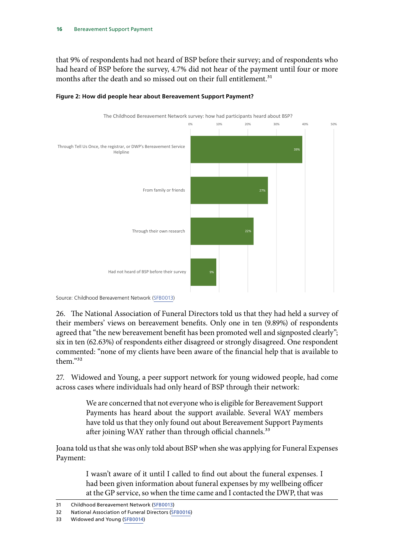that 9% of respondents had not heard of BSP before their survey; and of respondents who had heard of BSP before the survey, 4.7% did not hear of the payment until four or more months after the death and so missed out on their full entitlement.<sup>31</sup>



#### **Figure 2: How did people hear about Bereavement Support Payment?**



26. The National Association of Funeral Directors told us that they had held a survey of their members' views on bereavement benefits. Only one in ten (9.89%) of respondents agreed that "the new bereavement benefit has been promoted well and signposted clearly"; six in ten (62.63%) of respondents either disagreed or strongly disagreed. One respondent commented: "none of my clients have been aware of the financial help that is available to them."32

27. Widowed and Young, a peer support network for young widowed people, had come across cases where individuals had only heard of BSP through their network:

> We are concerned that not everyone who is eligible for Bereavement Support Payments has heard about the support available. Several WAY members have told us that they only found out about Bereavement Support Payments after joining WAY rather than through official channels.<sup>33</sup>

Joana told us that she was only told about BSP when she was applying for Funeral Expenses Payment:

> I wasn't aware of it until I called to find out about the funeral expenses. I had been given information about funeral expenses by my wellbeing officer at the GP service, so when the time came and I contacted the DWP, that was

<sup>31</sup> Childhood Bereavement Network [\(SFB0013\)](http://data.parliament.uk/writtenevidence/committeeevidence.svc/evidencedocument/work-and-pensions-committee/support-for-the-bereaved/written/102338.html)

<sup>32</sup> National Association of Funeral Directors [\(SFB0016](http://data.parliament.uk/writtenevidence/committeeevidence.svc/evidencedocument/work-and-pensions-committee/support-for-the-bereaved/written/102561.html))

<sup>33</sup> Widowed and Young [\(SFB0014](http://data.parliament.uk/writtenevidence/committeeevidence.svc/evidencedocument/work-and-pensions-committee/support-for-the-bereaved/written/102341.html))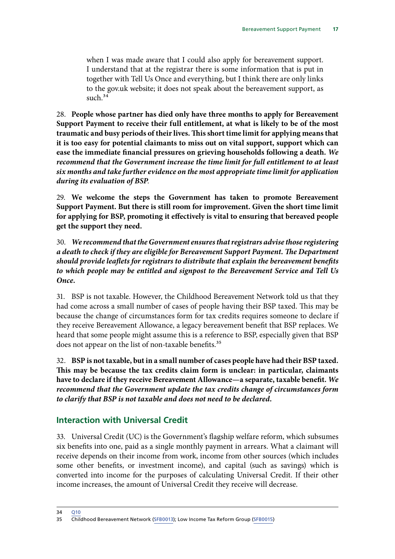<span id="page-18-0"></span>when I was made aware that I could also apply for bereavement support. I understand that at the registrar there is some information that is put in together with Tell Us Once and everything, but I think there are only links to the gov.uk website; it does not speak about the bereavement support, as such. $34$ 

28. **People whose partner has died only have three months to apply for Bereavement Support Payment to receive their full entitlement, at what is likely to be of the most traumatic and busy periods of their lives. This short time limit for applying means that it is too easy for potential claimants to miss out on vital support, support which can ease the immediate financial pressures on grieving households following a death.** *We recommend that the Government increase the time limit for full entitlement to at least six months and take further evidence on the most appropriate time limit for application during its evaluation of BSP.*

29. **We welcome the steps the Government has taken to promote Bereavement Support Payment. But there is still room for improvement. Given the short time limit for applying for BSP, promoting it effectively is vital to ensuring that bereaved people get the support they need.**

30. *We recommend that the Government ensures that registrars advise those registering a death to check if they are eligible for Bereavement Support Payment. The Department should provide leaflets for registrars to distribute that explain the bereavement benefits to which people may be entitled and signpost to the Bereavement Service and Tell Us Once.*

31. BSP is not taxable. However, the Childhood Bereavement Network told us that they had come across a small number of cases of people having their BSP taxed. This may be because the change of circumstances form for tax credits requires someone to declare if they receive Bereavement Allowance, a legacy bereavement benefit that BSP replaces. We heard that some people might assume this is a reference to BSP, especially given that BSP does not appear on the list of non-taxable benefits.<sup>35</sup>

32. **BSP is not taxable, but in a small number of cases people have had their BSP taxed. This may be because the tax credits claim form is unclear: in particular, claimants have to declare if they receive Bereavement Allowance—a separate, taxable benefit.** *We recommend that the Government update the tax credits change of circumstances form to clarify that BSP is not taxable and does not need to be declared.*

### **Interaction with Universal Credit**

33. Universal Credit (UC) is the Government's flagship welfare reform, which subsumes six benefits into one, paid as a single monthly payment in arrears. What a claimant will receive depends on their income from work, income from other sources (which includes some other benefits, or investment income), and capital (such as savings) which is converted into income for the purposes of calculating Universal Credit. If their other income increases, the amount of Universal Credit they receive will decrease.

<sup>34</sup> O10

<sup>35</sup> Childhood Bereavement Network [\(SFB0013](http://data.parliament.uk/writtenevidence/committeeevidence.svc/evidencedocument/work-and-pensions-committee/support-for-the-bereaved/written/102338.html)); Low Income Tax Reform Group [\(SFB0015](http://data.parliament.uk/writtenevidence/committeeevidence.svc/evidencedocument/work-and-pensions-committee/support-for-the-bereaved/written/102559.html))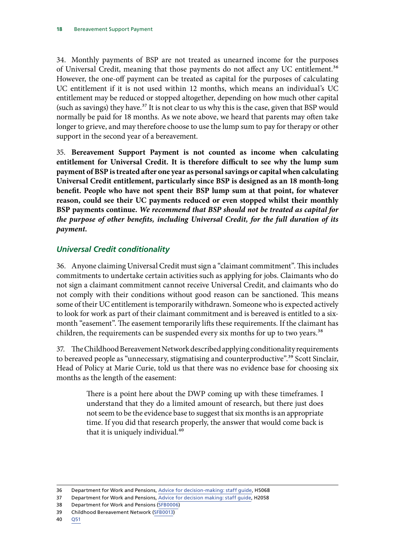<span id="page-19-0"></span>34. Monthly payments of BSP are not treated as unearned income for the purposes of Universal Credit, meaning that those payments do not affect any UC entitlement.36 However, the one-off payment can be treated as capital for the purposes of calculating UC entitlement if it is not used within 12 months, which means an individual's UC entitlement may be reduced or stopped altogether, depending on how much other capital (such as savings) they have.<sup>37</sup> It is not clear to us why this is the case, given that BSP would normally be paid for 18 months. As we note above, we heard that parents may often take longer to grieve, and may therefore choose to use the lump sum to pay for therapy or other support in the second year of a bereavement.

35. **Bereavement Support Payment is not counted as income when calculating entitlement for Universal Credit. It is therefore difficult to see why the lump sum payment of BSP is treated after one year as personal savings or capital when calculating Universal Credit entitlement, particularly since BSP is designed as an 18 month-long benefit. People who have not spent their BSP lump sum at that point, for whatever reason, could see their UC payments reduced or even stopped whilst their monthly BSP payments continue.** *We recommend that BSP should not be treated as capital for the purpose of other benefits, including Universal Credit, for the full duration of its payment.*

### *Universal Credit conditionality*

36. Anyone claiming Universal Credit must sign a "claimant commitment". This includes commitments to undertake certain activities such as applying for jobs. Claimants who do not sign a claimant commitment cannot receive Universal Credit, and claimants who do not comply with their conditions without good reason can be sanctioned. This means some of their UC entitlement is temporarily withdrawn. Someone who is expected actively to look for work as part of their claimant commitment and is bereaved is entitled to a sixmonth "easement". The easement temporarily lifts these requirements. If the claimant has children, the requirements can be suspended every six months for up to two years.<sup>38</sup>

37. The Childhood Bereavement Network described applying conditionality requirements to bereaved people as "unnecessary, stigmatising and counterproductive".<sup>39</sup> Scott Sinclair, Head of Policy at Marie Curie, told us that there was no evidence base for choosing six months as the length of the easement:

> There is a point here about the DWP coming up with these timeframes. I understand that they do a limited amount of research, but there just does not seem to be the evidence base to suggest that six months is an appropriate time. If you did that research properly, the answer that would come back is that it is uniquely individual.<sup>40</sup>

<sup>36</sup> Department for Work and Pensions, [Advice for decision-making: staff guide,](https://assets.publishing.service.gov.uk/government/uploads/system/uploads/attachment_data/file/831930/admh5.pdf) H5068

<sup>37</sup> Department for Work and Pensions, [Advice for decision making: staff guide,](https://assets.publishing.service.gov.uk/government/uploads/system/uploads/attachment_data/file/832009/admh2.pdf) H2058

<sup>38</sup> Department for Work and Pensions ([SFB0006](http://data.parliament.uk/writtenevidence/committeeevidence.svc/evidencedocument/work-and-pensions-committee/support-for-the-bereaved/written/102155.html))

<sup>39</sup> Childhood Bereavement Network [\(SFB0013](http://data.parliament.uk/writtenevidence/committeeevidence.svc/evidencedocument/work-and-pensions-committee/support-for-the-bereaved/written/102338.html))

<sup>40</sup> [Q51](http://data.parliament.uk/writtenevidence/committeeevidence.svc/evidencedocument/work-and-pensions-committee/support-for-the-bereaved/oral/102802.html)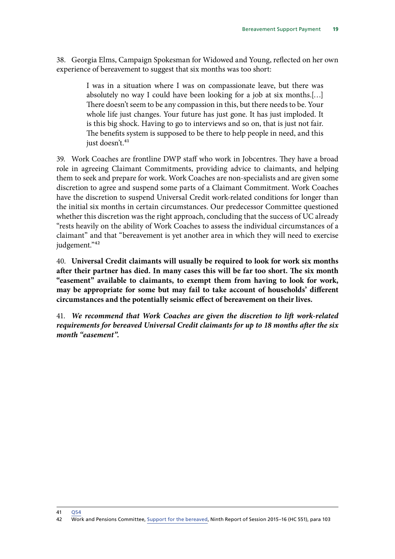38. Georgia Elms, Campaign Spokesman for Widowed and Young, reflected on her own experience of bereavement to suggest that six months was too short:

> I was in a situation where I was on compassionate leave, but there was absolutely no way I could have been looking for a job at six months.[…] There doesn't seem to be any compassion in this, but there needs to be. Your whole life just changes. Your future has just gone. It has just imploded. It is this big shock. Having to go to interviews and so on, that is just not fair. The benefits system is supposed to be there to help people in need, and this just doesn't.<sup>41</sup>

39. Work Coaches are frontline DWP staff who work in Jobcentres. They have a broad role in agreeing Claimant Commitments, providing advice to claimants, and helping them to seek and prepare for work. Work Coaches are non-specialists and are given some discretion to agree and suspend some parts of a Claimant Commitment. Work Coaches have the discretion to suspend Universal Credit work-related conditions for longer than the initial six months in certain circumstances. Our predecessor Committee questioned whether this discretion was the right approach, concluding that the success of UC already "rests heavily on the ability of Work Coaches to assess the individual circumstances of a claimant" and that "bereavement is yet another area in which they will need to exercise judgement."<sup>42</sup>

40. **Universal Credit claimants will usually be required to look for work six months after their partner has died. In many cases this will be far too short. The six month "easement" available to claimants, to exempt them from having to look for work, may be appropriate for some but may fail to take account of households' different circumstances and the potentially seismic effect of bereavement on their lives.**

41. *We recommend that Work Coaches are given the discretion to lift work-related requirements for bereaved Universal Credit claimants for up to 18 months after the six month "easement".*

41 [Q54](http://data.parliament.uk/writtenevidence/committeeevidence.svc/evidencedocument/work-and-pensions-committee/support-for-the-bereaved/oral/102802.html)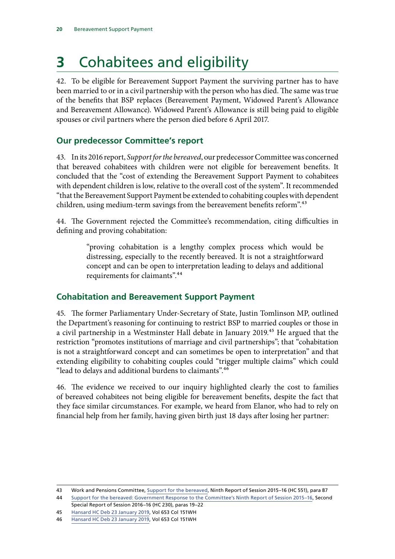## <span id="page-21-0"></span>**3** Cohabitees and eligibility

42. To be eligible for Bereavement Support Payment the surviving partner has to have been married to or in a civil partnership with the person who has died. The same was true of the benefits that BSP replaces (Bereavement Payment, Widowed Parent's Allowance and Bereavement Allowance). Widowed Parent's Allowance is still being paid to eligible spouses or civil partners where the person died before 6 April 2017.

## **Our predecessor Committee's report**

43. In its 2016 report, *Support for the bereaved*, our predecessor Committee was concerned that bereaved cohabitees with children were not eligible for bereavement benefits. It concluded that the "cost of extending the Bereavement Support Payment to cohabitees with dependent children is low, relative to the overall cost of the system". It recommended "that the Bereavement Support Payment be extended to cohabiting couples with dependent children, using medium-term savings from the bereavement benefits reform".<sup>43</sup>

44. The Government rejected the Committee's recommendation, citing difficulties in defining and proving cohabitation:

> "proving cohabitation is a lengthy complex process which would be distressing, especially to the recently bereaved. It is not a straightforward concept and can be open to interpretation leading to delays and additional requirements for claimants".44

## **Cohabitation and Bereavement Support Payment**

45. The former Parliamentary Under-Secretary of State, Justin Tomlinson MP, outlined the Department's reasoning for continuing to restrict BSP to married couples or those in a civil partnership in a Westminster Hall debate in January 2019.<sup>45</sup> He argued that the restriction "promotes institutions of marriage and civil partnerships"; that "cohabitation is not a straightforward concept and can sometimes be open to interpretation" and that extending eligibility to cohabiting couples could "trigger multiple claims" which could "lead to delays and additional burdens to claimants".46

46. The evidence we received to our inquiry highlighted clearly the cost to families of bereaved cohabitees not being eligible for bereavement benefits, despite the fact that they face similar circumstances. For example, we heard from Elanor, who had to rely on financial help from her family, having given birth just 18 days after losing her partner:

<sup>43</sup> Work and Pensions Committee, [Support for the bereaved](https://publications.parliament.uk/pa/cm201516/cmselect/cmworpen/551/551.pdf), Ninth Report of Session 2015–16 (HC 551), para 87

<sup>44</sup> [Support for the bereaved: Government Response to the Committee's Ninth Report of Session 2015–16](https://publications.parliament.uk/pa/cm201617/cmselect/cmworpen/230/230.pdf), Second Special Report of Session 2016–16 (HC 230), paras 19–22

<sup>45</sup> [Hansard HC Deb 23 January 2019](https://hansard.parliament.uk/Commons/2019-01-23/debates/3CC5D6E0-F5F6-4935-ADB6-05EF8FD5177E/WidowedParent%E2%80%99SAllowance), Vol 653 Col 151WH

<sup>46</sup> [Hansard HC Deb 23 January 2019](https://hansard.parliament.uk/Commons/2019-01-23/debates/3CC5D6E0-F5F6-4935-ADB6-05EF8FD5177E/WidowedParent%E2%80%99SAllowance), Vol 653 Col 151WH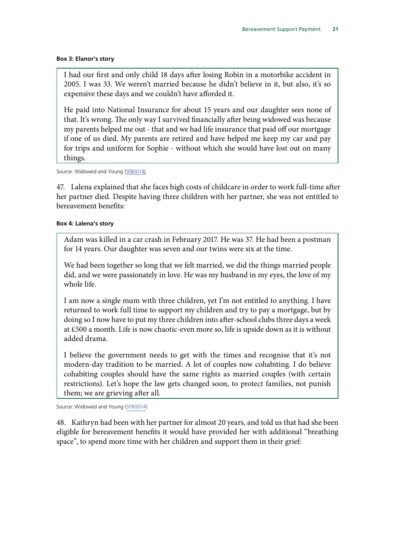#### **Box 3: Elanor's story**

I had our first and only child 18 days after losing Robin in a motorbike accident in 2005. I was 33. We weren't married because he didn't believe in it, but also, it's so expensive these days and we couldn't have afforded it.

He paid into National Insurance for about 15 years and our daughter sees none of that. It's wrong. The only way I survived financially after being widowed was because my parents helped me out - that and we had life insurance that paid off our mortgage if one of us died. My parents are retired and have helped me keep my car and pay for trips and uniform for Sophie - without which she would have lost out on many things.

#### Source: Widowed and Young ([SFB0014\)](http://data.parliament.uk/writtenevidence/committeeevidence.svc/evidencedocument/work-and-pensions-committee/support-for-the-bereaved/written/102341.html)

47. Lalena explained that she faces high costs of childcare in order to work full-time after her partner died. Despite having three children with her partner, she was not entitled to bereavement benefits:

#### **Box 4: Lalena's story**

Adam was killed in a car crash in February 2017. He was 37. He had been a postman for 14 years. Our daughter was seven and our twins were six at the time.

We had been together so long that we felt married, we did the things married people did, and we were passionately in love. He was my husband in my eyes, the love of my whole life.

I am now a single mum with three children, yet I'm not entitled to anything. I have returned to work full time to support my children and try to pay a mortgage, but by doing so I now have to put my three children into after-school clubs three days a week at £500 a month. Life is now chaotic-even more so, life is upside down as it is without added drama.

I believe the government needs to get with the times and recognise that it's not modern-day tradition to be married. A lot of couples now cohabiting. I do believe cohabiting couples should have the same rights as married couples (with certain restrictions). Let's hope the law gets changed soon, to protect families, not punish them; we are grieving after all.

Source: Widowed and Young [\(SFB0014](http://data.parliament.uk/writtenevidence/committeeevidence.svc/evidencedocument/work-and-pensions-committee/support-for-the-bereaved/written/102341.html))

48. Kathryn had been with her partner for almost 20 years, and told us that had she been eligible for bereavement benefits it would have provided her with additional "breathing space", to spend more time with her children and support them in their grief: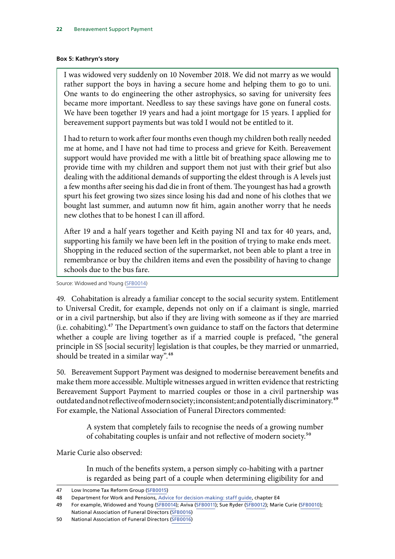#### **Box 5: Kathryn's story**

I was widowed very suddenly on 10 November 2018. We did not marry as we would rather support the boys in having a secure home and helping them to go to uni. One wants to do engineering the other astrophysics, so saving for university fees became more important. Needless to say these savings have gone on funeral costs. We have been together 19 years and had a joint mortgage for 15 years. I applied for bereavement support payments but was told I would not be entitled to it.

I had to return to work after four months even though my children both really needed me at home, and I have not had time to process and grieve for Keith. Bereavement support would have provided me with a little bit of breathing space allowing me to provide time with my children and support them not just with their grief but also dealing with the additional demands of supporting the eldest through is A levels just a few months after seeing his dad die in front of them. The youngest has had a growth spurt his feet growing two sizes since losing his dad and none of his clothes that we bought last summer, and autumn now fit him, again another worry that he needs new clothes that to be honest I can ill afford.

After 19 and a half years together and Keith paying NI and tax for 40 years, and, supporting his family we have been left in the position of trying to make ends meet. Shopping in the reduced section of the supermarket, not been able to plant a tree in remembrance or buy the children items and even the possibility of having to change schools due to the bus fare.

Source: Widowed and Young [\(SFB0014](http://data.parliament.uk/writtenevidence/committeeevidence.svc/evidencedocument/work-and-pensions-committee/support-for-the-bereaved/written/102341.html))

49. Cohabitation is already a familiar concept to the social security system. Entitlement to Universal Credit, for example, depends not only on if a claimant is single, married or in a civil partnership, but also if they are living with someone as if they are married (i.e. cohabiting).47 The Department's own guidance to staff on the factors that determine whether a couple are living together as if a married couple is prefaced, "the general principle in SS [social security] legislation is that couples, be they married or unmarried, should be treated in a similar way".<sup>48</sup>

50. Bereavement Support Payment was designed to modernise bereavement benefits and make them more accessible. Multiple witnesses argued in written evidence that restricting Bereavement Support Payment to married couples or those in a civil partnership was outdated and not reflective of modern society; inconsistent; and potentially discriminatory.<sup>49</sup> For example, the National Association of Funeral Directors commented:

> A system that completely fails to recognise the needs of a growing number of cohabitating couples is unfair and not reflective of modern society.50

Marie Curie also observed:

In much of the benefits system, a person simply co-habiting with a partner is regarded as being part of a couple when determining eligibility for and

<sup>47</sup> Low Income Tax Reform Group [\(SFB0015](http://data.parliament.uk/writtenevidence/committeeevidence.svc/evidencedocument/work-and-pensions-committee/support-for-the-bereaved/written/102559.html))

<sup>48</sup> Department for Work and Pensions, [Advice for decision-making: staff guide,](https://assets.publishing.service.gov.uk/government/uploads/system/uploads/attachment_data/file/661551/adme4.pdf) chapter E4

<sup>49</sup> For example, Widowed and Young ([SFB0014](http://data.parliament.uk/writtenevidence/committeeevidence.svc/evidencedocument/work-and-pensions-committee/support-for-the-bereaved/written/102341.html)); Aviva ([SFB0011](http://data.parliament.uk/writtenevidence/committeeevidence.svc/evidencedocument/work-and-pensions-committee/support-for-the-bereaved/written/102236.html)); Sue Ryder ([SFB0012\)](http://data.parliament.uk/writtenevidence/committeeevidence.svc/evidencedocument/work-and-pensions-committee/support-for-the-bereaved/written/102262.html); Marie Curie ([SFB0010](http://data.parliament.uk/writtenevidence/committeeevidence.svc/evidencedocument/work-and-pensions-committee/support-for-the-bereaved/written/102221.html)); National Association of Funeral Directors ([SFB0016](http://data.parliament.uk/writtenevidence/committeeevidence.svc/evidencedocument/work-and-pensions-committee/support-for-the-bereaved/written/102561.html))

<sup>50</sup> National Association of Funeral Directors ([SFB0016](http://data.parliament.uk/writtenevidence/committeeevidence.svc/evidencedocument/work-and-pensions-committee/support-for-the-bereaved/written/102561.html))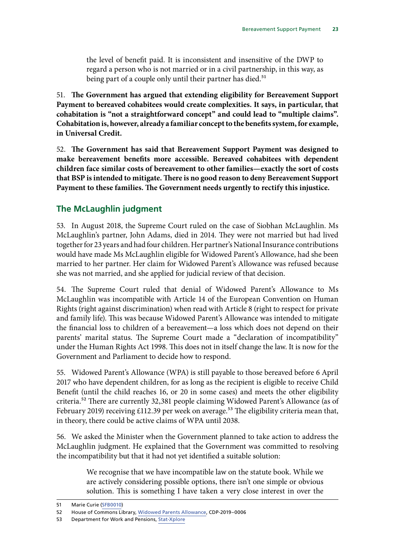<span id="page-24-0"></span>the level of benefit paid. It is inconsistent and insensitive of the DWP to regard a person who is not married or in a civil partnership, in this way, as being part of a couple only until their partner has died.<sup>51</sup>

51. **The Government has argued that extending eligibility for Bereavement Support Payment to bereaved cohabitees would create complexities. It says, in particular, that cohabitation is "not a straightforward concept" and could lead to "multiple claims". Cohabitation is, however, already a familiar concept to the benefits system, for example, in Universal Credit.**

52. **The Government has said that Bereavement Support Payment was designed to make bereavement benefits more accessible. Bereaved cohabitees with dependent children face similar costs of bereavement to other families—exactly the sort of costs that BSP is intended to mitigate. There is no good reason to deny Bereavement Support Payment to these families. The Government needs urgently to rectify this injustice.**

## **The McLaughlin judgment**

53. In August 2018, the Supreme Court ruled on the case of Siobhan McLaughlin. Ms McLaughlin's partner, John Adams, died in 2014. They were not married but had lived together for 23 years and had four children. Her partner's National Insurance contributions would have made Ms McLaughlin eligible for Widowed Parent's Allowance, had she been married to her partner. Her claim for Widowed Parent's Allowance was refused because she was not married, and she applied for judicial review of that decision.

54. The Supreme Court ruled that denial of Widowed Parent's Allowance to Ms McLaughlin was incompatible with Article 14 of the European Convention on Human Rights (right against discrimination) when read with Article 8 (right to respect for private and family life). This was because Widowed Parent's Allowance was intended to mitigate the financial loss to children of a bereavement—a loss which does not depend on their parents' marital status. The Supreme Court made a "declaration of incompatibility" under the Human Rights Act 1998. This does not in itself change the law. It is now for the Government and Parliament to decide how to respond.

55. Widowed Parent's Allowance (WPA) is still payable to those bereaved before 6 April 2017 who have dependent children, for as long as the recipient is eligible to receive Child Benefit (until the child reaches 16, or 20 in some cases) and meets the other eligibility criteria.52 There are currently 32,381 people claiming Widowed Parent's Allowance (as of February 2019) receiving  $£112.39$  per week on average.<sup>53</sup> The eligibility criteria mean that, in theory, there could be active claims of WPA until 2038.

56. We asked the Minister when the Government planned to take action to address the McLaughlin judgment. He explained that the Government was committed to resolving the incompatibility but that it had not yet identified a suitable solution:

> We recognise that we have incompatible law on the statute book. While we are actively considering possible options, there isn't one simple or obvious solution. This is something I have taken a very close interest in over the

<sup>51</sup> Marie Curie ([SFB0010](http://data.parliament.uk/writtenevidence/committeeevidence.svc/evidencedocument/work-and-pensions-committee/support-for-the-bereaved/written/102221.html))

<sup>52</sup> House of Commons Library, [Widowed Parents Allowance,](https://researchbriefings.parliament.uk/ResearchBriefing/Summary/CDP-2019-0006) CDP-2019–0006

<sup>53</sup> Department for Work and Pensions, [Stat-Xplore](https://stat-xplore.dwp.gov.uk/webapi/jsf/login.xhtml)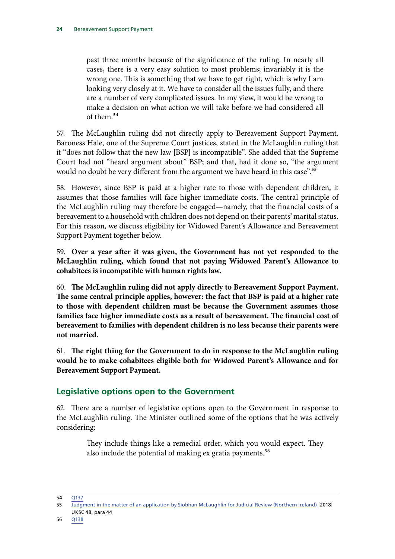<span id="page-25-0"></span>past three months because of the significance of the ruling. In nearly all cases, there is a very easy solution to most problems; invariably it is the wrong one. This is something that we have to get right, which is why I am looking very closely at it. We have to consider all the issues fully, and there are a number of very complicated issues. In my view, it would be wrong to make a decision on what action we will take before we had considered all of them.54

57. The McLaughlin ruling did not directly apply to Bereavement Support Payment. Baroness Hale, one of the Supreme Court justices, stated in the McLaughlin ruling that it "does not follow that the new law [BSP] is incompatible". She added that the Supreme Court had not "heard argument about" BSP; and that, had it done so, "the argument would no doubt be very different from the argument we have heard in this case".<sup>55</sup>

58. However, since BSP is paid at a higher rate to those with dependent children, it assumes that those families will face higher immediate costs. The central principle of the McLaughlin ruling may therefore be engaged—namely, that the financial costs of a bereavement to a household with children does not depend on their parents' marital status. For this reason, we discuss eligibility for Widowed Parent's Allowance and Bereavement Support Payment together below.

59. **Over a year after it was given, the Government has not yet responded to the McLaughlin ruling, which found that not paying Widowed Parent's Allowance to cohabitees is incompatible with human rights law.**

60. **The McLaughlin ruling did not apply directly to Bereavement Support Payment. The same central principle applies, however: the fact that BSP is paid at a higher rate to those with dependent children must be because the Government assumes those families face higher immediate costs as a result of bereavement. The financial cost of bereavement to families with dependent children is no less because their parents were not married.**

61. **The right thing for the Government to do in response to the McLaughlin ruling would be to make cohabitees eligible both for Widowed Parent's Allowance and for Bereavement Support Payment.**

## **Legislative options open to the Government**

62. There are a number of legislative options open to the Government in response to the McLaughlin ruling. The Minister outlined some of the options that he was actively considering:

> They include things like a remedial order, which you would expect. They also include the potential of making ex gratia payments.<sup>56</sup>

54 [Q137](http://data.parliament.uk/writtenevidence/committeeevidence.svc/evidencedocument/work-and-pensions-committee/support-for-the-bereaved/oral/103885.html)

<sup>55</sup> [Judgment in the matter of an application by Siobhan McLaughlin for Judicial Review \(Northern Ireland\)](https://www.supremecourt.uk/cases/docs/uksc-2017-0035-judgment.pdf) [2018]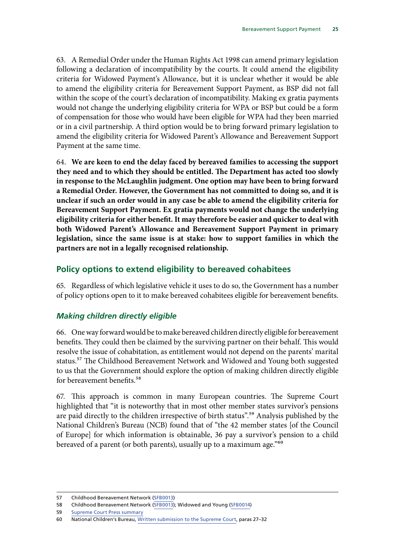<span id="page-26-0"></span>63. A Remedial Order under the Human Rights Act 1998 can amend primary legislation following a declaration of incompatibility by the courts. It could amend the eligibility criteria for Widowed Payment's Allowance, but it is unclear whether it would be able to amend the eligibility criteria for Bereavement Support Payment, as BSP did not fall within the scope of the court's declaration of incompatibility. Making ex gratia payments would not change the underlying eligibility criteria for WPA or BSP but could be a form of compensation for those who would have been eligible for WPA had they been married or in a civil partnership. A third option would be to bring forward primary legislation to amend the eligibility criteria for Widowed Parent's Allowance and Bereavement Support Payment at the same time.

64. **We are keen to end the delay faced by bereaved families to accessing the support they need and to which they should be entitled. The Department has acted too slowly in response to the McLaughlin judgment. One option may have been to bring forward a Remedial Order. However, the Government has not committed to doing so, and it is unclear if such an order would in any case be able to amend the eligibility criteria for Bereavement Support Payment. Ex gratia payments would not change the underlying eligibility criteria for either benefit. It may therefore be easier and quicker to deal with both Widowed Parent's Allowance and Bereavement Support Payment in primary legislation, since the same issue is at stake: how to support families in which the partners are not in a legally recognised relationship.**

### **Policy options to extend eligibility to bereaved cohabitees**

65. Regardless of which legislative vehicle it uses to do so, the Government has a number of policy options open to it to make bereaved cohabitees eligible for bereavement benefits.

### *Making children directly eligible*

66. One way forward would be to make bereaved children directly eligible for bereavement benefits. They could then be claimed by the surviving partner on their behalf. This would resolve the issue of cohabitation, as entitlement would not depend on the parents' marital status.57 The Childhood Bereavement Network and Widowed and Young both suggested to us that the Government should explore the option of making children directly eligible for bereavement benefits.<sup>58</sup>

67. This approach is common in many European countries. The Supreme Court highlighted that "it is noteworthy that in most other member states survivor's pensions are paid directly to the children irrespective of birth status".59 Analysis published by the National Children's Bureau (NCB) found that of "the 42 member states [of the Council of Europe] for which information is obtainable, 36 pay a survivor's pension to a child bereaved of a parent (or both parents), usually up to a maximum age."60

<sup>57</sup> Childhood Bereavement Network [\(SFB0013](http://data.parliament.uk/writtenevidence/committeeevidence.svc/evidencedocument/work-and-pensions-committee/support-for-the-bereaved/written/102338.html))

<sup>58</sup> Childhood Bereavement Network [\(SFB0013](http://data.parliament.uk/writtenevidence/committeeevidence.svc/evidencedocument/work-and-pensions-committee/support-for-the-bereaved/written/102338.html)); Widowed and Young ([SFB0014](http://data.parliament.uk/writtenevidence/committeeevidence.svc/evidencedocument/work-and-pensions-committee/support-for-the-bereaved/written/102341.html))

<sup>59</sup> [Supreme Court Press summary](https://www.supremecourt.uk/cases/docs/uksc-2017-0035-press-summary.pdf)

<sup>60</sup> National Children's Bureau, [Written submission to the Supreme Court](http://www.childhoodbereavementnetwork.org.uk/media/73376/Approved-Submissions-NCB-5289501-1-29318-MAIN-SUBMISSIONS.pdf), paras 27–32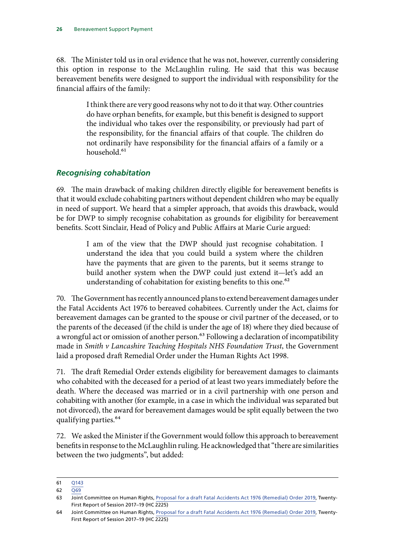<span id="page-27-0"></span>68. The Minister told us in oral evidence that he was not, however, currently considering this option in response to the McLaughlin ruling. He said that this was because bereavement benefits were designed to support the individual with responsibility for the financial affairs of the family:

> I think there are very good reasons why not to do it that way. Other countries do have orphan benefits, for example, but this benefit is designed to support the individual who takes over the responsibility, or previously had part of the responsibility, for the financial affairs of that couple. The children do not ordinarily have responsibility for the financial affairs of a family or a household.<sup>61</sup>

### *Recognising cohabitation*

69. The main drawback of making children directly eligible for bereavement benefits is that it would exclude cohabiting partners without dependent children who may be equally in need of support. We heard that a simpler approach, that avoids this drawback, would be for DWP to simply recognise cohabitation as grounds for eligibility for bereavement benefits. Scott Sinclair, Head of Policy and Public Affairs at Marie Curie argued:

> I am of the view that the DWP should just recognise cohabitation. I understand the idea that you could build a system where the children have the payments that are given to the parents, but it seems strange to build another system when the DWP could just extend it—let's add an understanding of cohabitation for existing benefits to this one.<sup>62</sup>

70. The Government has recently announced plans to extend bereavement damages under the Fatal Accidents Act 1976 to bereaved cohabitees. Currently under the Act, claims for bereavement damages can be granted to the spouse or civil partner of the deceased, or to the parents of the deceased (if the child is under the age of 18) where they died because of a wrongful act or omission of another person.<sup>63</sup> Following a declaration of incompatibility made in *Smith v Lancashire Teaching Hospitals NHS Foundation Trust*, the Government laid a proposed draft Remedial Order under the Human Rights Act 1998.

71. The draft Remedial Order extends eligibility for bereavement damages to claimants who cohabited with the deceased for a period of at least two years immediately before the death. Where the deceased was married or in a civil partnership with one person and cohabiting with another (for example, in a case in which the individual was separated but not divorced), the award for bereavement damages would be split equally between the two qualifying parties.64

72. We asked the Minister if the Government would follow this approach to bereavement benefits in response to the McLaughlin ruling. He acknowledged that "there are similarities between the two judgments", but added:

<sup>61</sup> [Q143](http://data.parliament.uk/writtenevidence/committeeevidence.svc/evidencedocument/work-and-pensions-committee/support-for-the-bereaved/oral/103885.html)

<sup>62</sup> [Q69](http://data.parliament.uk/writtenevidence/committeeevidence.svc/evidencedocument/work-and-pensions-committee/support-for-the-bereaved/oral/102802.html)

<sup>63</sup> Joint Committee on Human Rights, [Proposal for a draft Fatal Accidents Act 1976 \(Remedial\) Order 2019,](https://publications.parliament.uk/pa/jt201719/jtselect/jtrights/2225/2225.pdf) Twenty-First Report of Session 2017–19 (HC 2225)

<sup>64</sup> Joint Committee on Human Rights, [Proposal for a draft Fatal Accidents Act 1976 \(Remedial\) Order 2019,](https://publications.parliament.uk/pa/jt201719/jtselect/jtrights/2225/2225.pdf) Twenty-First Report of Session 2017–19 (HC 2225)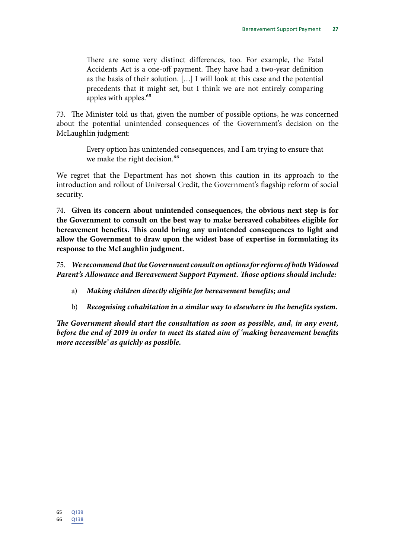There are some very distinct differences, too. For example, the Fatal Accidents Act is a one-off payment. They have had a two-year definition as the basis of their solution. […] I will look at this case and the potential precedents that it might set, but I think we are not entirely comparing apples with apples.<sup>65</sup>

73. The Minister told us that, given the number of possible options, he was concerned about the potential unintended consequences of the Government's decision on the McLaughlin judgment:

> Every option has unintended consequences, and I am trying to ensure that we make the right decision.<sup>66</sup>

We regret that the Department has not shown this caution in its approach to the introduction and rollout of Universal Credit, the Government's flagship reform of social security.

74. **Given its concern about unintended consequences, the obvious next step is for the Government to consult on the best way to make bereaved cohabitees eligible for bereavement benefits. This could bring any unintended consequences to light and allow the Government to draw upon the widest base of expertise in formulating its response to the McLaughlin judgment.**

75. *We recommend that the Government consult on options for reform of both Widowed Parent's Allowance and Bereavement Support Payment. Those options should include:*

- a) *Making children directly eligible for bereavement benefits; and*
- b) *Recognising cohabitation in a similar way to elsewhere in the benefits system.*

*The Government should start the consultation as soon as possible, and, in any event, before the end of 2019 in order to meet its stated aim of 'making bereavement benefits more accessible' as quickly as possible.*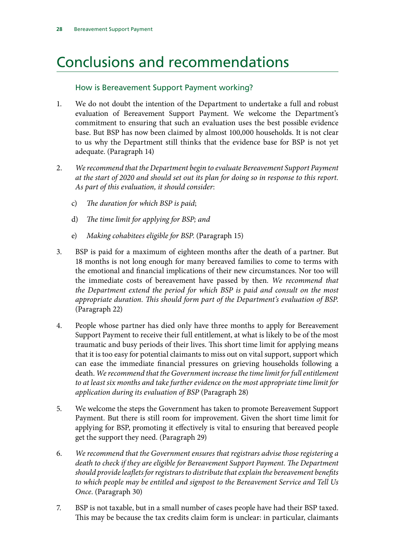## <span id="page-29-0"></span>Conclusions and recommendations

### How is Bereavement Support Payment working?

- 1. We do not doubt the intention of the Department to undertake a full and robust evaluation of Bereavement Support Payment. We welcome the Department's commitment to ensuring that such an evaluation uses the best possible evidence base. But BSP has now been claimed by almost 100,000 households. It is not clear to us why the Department still thinks that the evidence base for BSP is not yet adequate. (Paragraph 14)
- 2. *We recommend that the Department begin to evaluate Bereavement Support Payment at the start of 2020 and should set out its plan for doing so in response to this report. As part of this evaluation, it should consider*:
	- c) *The duration for which BSP is paid*;
	- d) *The time limit for applying for BSP; and*
	- e) *Making cohabitees eligible for BSP*. (Paragraph 15)
- 3. BSP is paid for a maximum of eighteen months after the death of a partner. But 18 months is not long enough for many bereaved families to come to terms with the emotional and financial implications of their new circumstances. Nor too will the immediate costs of bereavement have passed by then. *We recommend that the Department extend the period for which BSP is paid and consult on the most appropriate duration. This should form part of the Department's evaluation of BSP*. (Paragraph 22)
- 4. People whose partner has died only have three months to apply for Bereavement Support Payment to receive their full entitlement, at what is likely to be of the most traumatic and busy periods of their lives. This short time limit for applying means that it is too easy for potential claimants to miss out on vital support, support which can ease the immediate financial pressures on grieving households following a death. *We recommend that the Government increase the time limit for full entitlement to at least six months and take further evidence on the most appropriate time limit for application during its evaluation of BSP* (Paragraph 28)
- 5. We welcome the steps the Government has taken to promote Bereavement Support Payment. But there is still room for improvement. Given the short time limit for applying for BSP, promoting it effectively is vital to ensuring that bereaved people get the support they need. (Paragraph 29)
- 6. *We recommend that the Government ensures that registrars advise those registering a death to check if they are eligible for Bereavement Support Payment. The Department should provide leaflets for registrars to distribute that explain the bereavement benefits to which people may be entitled and signpost to the Bereavement Service and Tell Us Once*. (Paragraph 30)
- 7. BSP is not taxable, but in a small number of cases people have had their BSP taxed. This may be because the tax credits claim form is unclear: in particular, claimants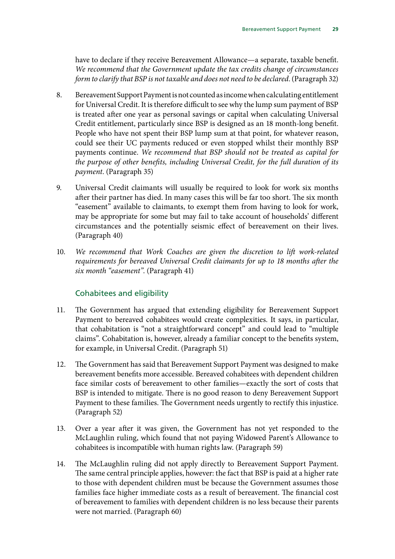have to declare if they receive Bereavement Allowance—a separate, taxable benefit. *We recommend that the Government update the tax credits change of circumstances form to clarify that BSP is not taxable and does not need to be declared*. (Paragraph 32)

- 8. Bereavement Support Payment is not counted as income when calculating entitlement for Universal Credit. It is therefore difficult to see why the lump sum payment of BSP is treated after one year as personal savings or capital when calculating Universal Credit entitlement, particularly since BSP is designed as an 18 month-long benefit. People who have not spent their BSP lump sum at that point, for whatever reason, could see their UC payments reduced or even stopped whilst their monthly BSP payments continue. *We recommend that BSP should not be treated as capital for the purpose of other benefits, including Universal Credit, for the full duration of its payment*. (Paragraph 35)
- 9. Universal Credit claimants will usually be required to look for work six months after their partner has died. In many cases this will be far too short. The six month "easement" available to claimants, to exempt them from having to look for work, may be appropriate for some but may fail to take account of households' different circumstances and the potentially seismic effect of bereavement on their lives. (Paragraph 40)
- 10. *We recommend that Work Coaches are given the discretion to lift work-related requirements for bereaved Universal Credit claimants for up to 18 months after the six month "easement"*. (Paragraph 41)

### Cohabitees and eligibility

- 11. The Government has argued that extending eligibility for Bereavement Support Payment to bereaved cohabitees would create complexities. It says, in particular, that cohabitation is "not a straightforward concept" and could lead to "multiple claims". Cohabitation is, however, already a familiar concept to the benefits system, for example, in Universal Credit. (Paragraph 51)
- 12. The Government has said that Bereavement Support Payment was designed to make bereavement benefits more accessible. Bereaved cohabitees with dependent children face similar costs of bereavement to other families—exactly the sort of costs that BSP is intended to mitigate. There is no good reason to deny Bereavement Support Payment to these families. The Government needs urgently to rectify this injustice. (Paragraph 52)
- 13. Over a year after it was given, the Government has not yet responded to the McLaughlin ruling, which found that not paying Widowed Parent's Allowance to cohabitees is incompatible with human rights law. (Paragraph 59)
- 14. The McLaughlin ruling did not apply directly to Bereavement Support Payment. The same central principle applies, however: the fact that BSP is paid at a higher rate to those with dependent children must be because the Government assumes those families face higher immediate costs as a result of bereavement. The financial cost of bereavement to families with dependent children is no less because their parents were not married. (Paragraph 60)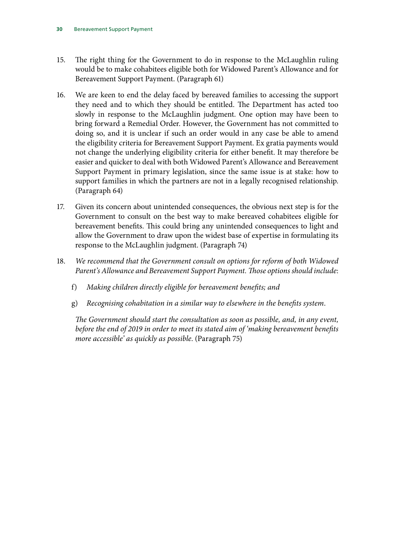- 15. The right thing for the Government to do in response to the McLaughlin ruling would be to make cohabitees eligible both for Widowed Parent's Allowance and for Bereavement Support Payment. (Paragraph 61)
- 16. We are keen to end the delay faced by bereaved families to accessing the support they need and to which they should be entitled. The Department has acted too slowly in response to the McLaughlin judgment. One option may have been to bring forward a Remedial Order. However, the Government has not committed to doing so, and it is unclear if such an order would in any case be able to amend the eligibility criteria for Bereavement Support Payment. Ex gratia payments would not change the underlying eligibility criteria for either benefit. It may therefore be easier and quicker to deal with both Widowed Parent's Allowance and Bereavement Support Payment in primary legislation, since the same issue is at stake: how to support families in which the partners are not in a legally recognised relationship. (Paragraph 64)
- 17. Given its concern about unintended consequences, the obvious next step is for the Government to consult on the best way to make bereaved cohabitees eligible for bereavement benefits. This could bring any unintended consequences to light and allow the Government to draw upon the widest base of expertise in formulating its response to the McLaughlin judgment. (Paragraph 74)
- 18. *We recommend that the Government consult on options for reform of both Widowed Parent's Allowance and Bereavement Support Payment. Those options should include*:
	- f) *Making children directly eligible for bereavement benefits; and*
	- g) *Recognising cohabitation in a similar way to elsewhere in the benefits system*.

*The Government should start the consultation as soon as possible, and, in any event, before the end of 2019 in order to meet its stated aim of 'making bereavement benefits more accessible' as quickly as possible*. (Paragraph 75)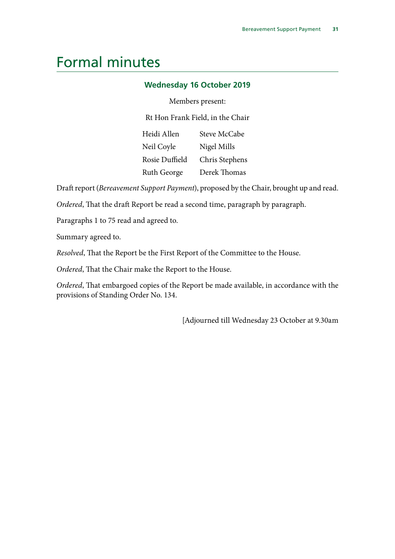## <span id="page-32-0"></span>Formal minutes

#### **Wednesday 16 October 2019**

#### Members present:

Rt Hon Frank Field, in the Chair

| Steve McCabe   |
|----------------|
| Nigel Mills    |
| Chris Stephens |
| Derek Thomas   |
|                |

Draft report (*Bereavement Support Payment*), proposed by the Chair, brought up and read.

*Ordered*, That the draft Report be read a second time, paragraph by paragraph.

Paragraphs 1 to 75 read and agreed to.

Summary agreed to.

*Resolved*, That the Report be the First Report of the Committee to the House.

*Ordered*, That the Chair make the Report to the House.

*Ordered*, That embargoed copies of the Report be made available, in accordance with the provisions of Standing Order No. 134.

[Adjourned till Wednesday 23 October at 9.30am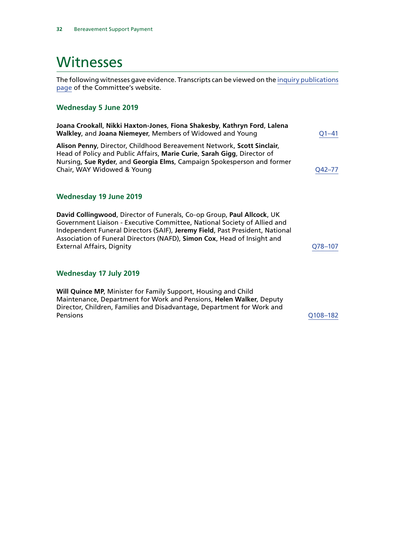## <span id="page-33-0"></span>Witnesses

The following witnesses gave evidence. Transcripts can be viewed on the [inquiry publications](https://www.parliament.uk/business/committees/committees-a-z/commons-select/work-and-pensions-committee/inquiries/parliament-2017/inquiry3/publications/) [page](https://www.parliament.uk/business/committees/committees-a-z/commons-select/work-and-pensions-committee/inquiries/parliament-2017/inquiry3/publications/) of the Committee's website.

#### **Wednesday 5 June 2019**

| Joana Crookall, Nikki Haxton-Jones, Fiona Shakesby, Kathryn Ford, Lalena<br>Walkley, and Joana Niemeyer, Members of Widowed and Young                                                                                                                     | O1–41  |
|-----------------------------------------------------------------------------------------------------------------------------------------------------------------------------------------------------------------------------------------------------------|--------|
| Alison Penny, Director, Childhood Bereavement Network, Scott Sinclair,<br>Head of Policy and Public Affairs, Marie Curie, Sarah Gigg, Director of<br>Nursing, Sue Ryder, and Georgia Elms, Campaign Spokesperson and former<br>Chair, WAY Widowed & Young | O42–77 |
| Wednesday 19 June 2019                                                                                                                                                                                                                                    |        |
| David Collingwood, Director of Funerals, Co-op Group, Paul Allcock, UK                                                                                                                                                                                    |        |

Government Liaison - Executive Committee, National Society of Allied and Independent Funeral Directors (SAIF), **Jeremy Field**, Past President, National Association of Funeral Directors (NAFD), **Simon Cox**, Head of Insight and External Affairs, Dignity Canadian Communications of the COS-107

#### **Wednesday 17 July 2019**

**Will Quince MP**, Minister for Family Support, Housing and Child Maintenance, Department for Work and Pensions, **Helen Walker**, Deputy Director, Children, Families and Disadvantage, Department for Work and Pensions [Q108–182](http://data.parliament.uk/WrittenEvidence/CommitteeEvidence.svc/EvidenceDocument/Work%20and%20Pensions/Support%20for%20the%20bereaved/Oral/103885.html)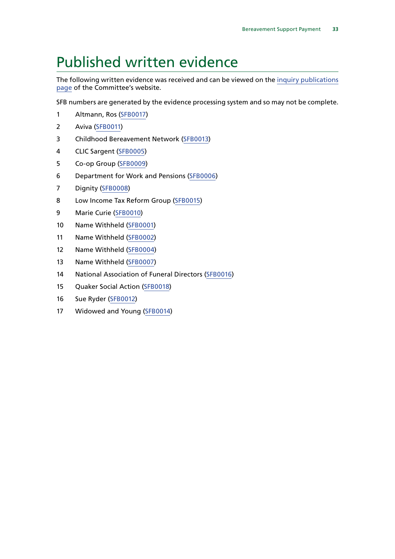## <span id="page-34-0"></span>Published written evidence

The following written evidence was received and can be viewed on the [inquiry publications](https://www.parliament.uk/business/committees/committees-a-z/commons-select/work-and-pensions-committee/inquiries/parliament-2017/inquiry3/publications/) [page](https://www.parliament.uk/business/committees/committees-a-z/commons-select/work-and-pensions-committee/inquiries/parliament-2017/inquiry3/publications/) of the Committee's website.

SFB numbers are generated by the evidence processing system and so may not be complete.

- Altmann, Ros [\(SFB0017\)](http://data.parliament.uk/WrittenEvidence/CommitteeEvidence.svc/EvidenceDocument/Work%20and%20Pensions/Support%20for%20the%20bereaved/Written/102595.html)
- Aviva ([SFB0011\)](http://data.parliament.uk/WrittenEvidence/CommitteeEvidence.svc/EvidenceDocument/Work%20and%20Pensions/Support%20for%20the%20bereaved/Written/102236.html)
- Childhood Bereavement Network [\(SFB0013](http://data.parliament.uk/WrittenEvidence/CommitteeEvidence.svc/EvidenceDocument/Work%20and%20Pensions/Support%20for%20the%20bereaved/Written/102338.html))
- CLIC Sargent ([SFB0005\)](http://data.parliament.uk/WrittenEvidence/CommitteeEvidence.svc/EvidenceDocument/Work%20and%20Pensions/Support%20for%20the%20bereaved/Written/102144.html)
- Co-op Group [\(SFB0009](http://data.parliament.uk/WrittenEvidence/CommitteeEvidence.svc/EvidenceDocument/Work%20and%20Pensions/Support%20for%20the%20bereaved/Written/102207.html))
- Department for Work and Pensions ([SFB0006\)](http://data.parliament.uk/WrittenEvidence/CommitteeEvidence.svc/EvidenceDocument/Work%20and%20Pensions/Support%20for%20the%20bereaved/Written/102155.html)
- Dignity ([SFB0008\)](http://data.parliament.uk/WrittenEvidence/CommitteeEvidence.svc/EvidenceDocument/Work%20and%20Pensions/Support%20for%20the%20bereaved/Written/102193.html)
- Low Income Tax Reform Group ([SFB0015\)](http://data.parliament.uk/WrittenEvidence/CommitteeEvidence.svc/EvidenceDocument/Work%20and%20Pensions/Support%20for%20the%20bereaved/Written/102559.html)
- Marie Curie ([SFB0010](http://data.parliament.uk/WrittenEvidence/CommitteeEvidence.svc/EvidenceDocument/Work%20and%20Pensions/Support%20for%20the%20bereaved/Written/102221.html))
- Name Withheld [\(SFB0001\)](http://data.parliament.uk/WrittenEvidence/CommitteeEvidence.svc/EvidenceDocument/Work%20and%20Pensions/Support%20for%20the%20bereaved/Written/101846.html)
- Name Withheld [\(SFB0002](http://data.parliament.uk/WrittenEvidence/CommitteeEvidence.svc/EvidenceDocument/Work%20and%20Pensions/Support%20for%20the%20bereaved/Written/101854.html))
- Name Withheld [\(SFB0004\)](http://data.parliament.uk/WrittenEvidence/CommitteeEvidence.svc/EvidenceDocument/Work%20and%20Pensions/Support%20for%20the%20bereaved/Written/102116.html)
- Name Withheld [\(SFB0007](http://data.parliament.uk/WrittenEvidence/CommitteeEvidence.svc/EvidenceDocument/Work%20and%20Pensions/Support%20for%20the%20bereaved/Written/102156.html))
- 14 National Association of Funeral Directors [\(SFB0016](http://data.parliament.uk/WrittenEvidence/CommitteeEvidence.svc/EvidenceDocument/Work%20and%20Pensions/Support%20for%20the%20bereaved/Written/102561.html))
- Quaker Social Action [\(SFB0018](http://data.parliament.uk/WrittenEvidence/CommitteeEvidence.svc/EvidenceDocument/Work%20and%20Pensions/Support%20for%20the%20bereaved/Written/102706.html))
- Sue Ryder ([SFB0012\)](http://data.parliament.uk/WrittenEvidence/CommitteeEvidence.svc/EvidenceDocument/Work%20and%20Pensions/Support%20for%20the%20bereaved/Written/102262.html)
- Widowed and Young ([SFB0014\)](http://data.parliament.uk/WrittenEvidence/CommitteeEvidence.svc/EvidenceDocument/Work%20and%20Pensions/Support%20for%20the%20bereaved/Written/102341.html)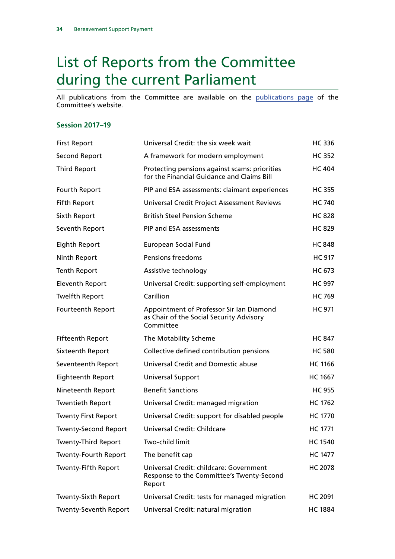## <span id="page-35-0"></span>List of Reports from the Committee during the current Parliament

All publications from the Committee are available on the [publications page](https://www.parliament.uk/business/committees/committees-a-z/commons-select/work-and-pensions-committee/publications/) of the Committee's website.

#### **Session 2017–19**

| <b>First Report</b>          | Universal Credit: the six week wait                                                               | <b>HC336</b>   |
|------------------------------|---------------------------------------------------------------------------------------------------|----------------|
| <b>Second Report</b>         | A framework for modern employment                                                                 | <b>HC 352</b>  |
| <b>Third Report</b>          | Protecting pensions against scams: priorities<br>for the Financial Guidance and Claims Bill       | <b>HC 404</b>  |
| Fourth Report                | PIP and ESA assessments: claimant experiences                                                     | <b>HC 355</b>  |
| <b>Fifth Report</b>          | Universal Credit Project Assessment Reviews                                                       | <b>HC 740</b>  |
| Sixth Report                 | <b>British Steel Pension Scheme</b>                                                               | <b>HC 828</b>  |
| Seventh Report               | PIP and ESA assessments                                                                           | <b>HC 829</b>  |
| Eighth Report                | European Social Fund                                                                              | <b>HC 848</b>  |
| Ninth Report                 | Pensions freedoms                                                                                 | <b>HC 917</b>  |
| <b>Tenth Report</b>          | Assistive technology                                                                              | <b>HC 673</b>  |
| <b>Eleventh Report</b>       | Universal Credit: supporting self-employment                                                      | <b>HC 997</b>  |
| <b>Twelfth Report</b>        | Carillion                                                                                         | <b>HC 769</b>  |
| Fourteenth Report            | Appointment of Professor Sir Ian Diamond<br>as Chair of the Social Security Advisory<br>Committee | <b>HC 971</b>  |
| <b>Fifteenth Report</b>      | The Motability Scheme                                                                             | <b>HC 847</b>  |
| Sixteenth Report             | Collective defined contribution pensions                                                          | <b>HC 580</b>  |
| Seventeenth Report           | <b>Universal Credit and Domestic abuse</b>                                                        | <b>HC 1166</b> |
| <b>Eighteenth Report</b>     | Universal Support                                                                                 | <b>HC 1667</b> |
| Nineteenth Report            | <b>Benefit Sanctions</b>                                                                          | <b>HC 955</b>  |
| <b>Twentieth Report</b>      | Universal Credit: managed migration                                                               | <b>HC 1762</b> |
| <b>Twenty First Report</b>   | Universal Credit: support for disabled people                                                     | <b>HC 1770</b> |
| <b>Twenty-Second Report</b>  | Universal Credit: Childcare                                                                       | <b>HC 1771</b> |
| <b>Twenty-Third Report</b>   | Two-child limit                                                                                   | <b>HC 1540</b> |
| <b>Twenty-Fourth Report</b>  | The benefit cap                                                                                   | <b>HC 1477</b> |
| <b>Twenty-Fifth Report</b>   | Universal Credit: childcare: Government<br>Response to the Committee's Twenty-Second<br>Report    | <b>HC 2078</b> |
| <b>Twenty-Sixth Report</b>   | Universal Credit: tests for managed migration                                                     | HC 2091        |
| <b>Twenty-Seventh Report</b> | Universal Credit: natural migration                                                               | <b>HC 1884</b> |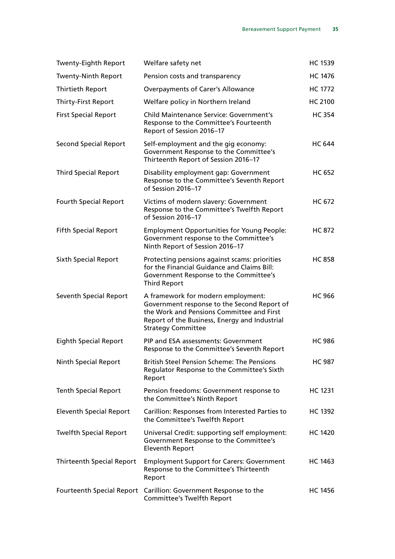| <b>Twenty-Eighth Report</b>      | Welfare safety net                                                                                                                                                                                           | <b>HC 1539</b> |
|----------------------------------|--------------------------------------------------------------------------------------------------------------------------------------------------------------------------------------------------------------|----------------|
| <b>Twenty-Ninth Report</b>       | Pension costs and transparency                                                                                                                                                                               | <b>HC 1476</b> |
| <b>Thirtieth Report</b>          | <b>Overpayments of Carer's Allowance</b>                                                                                                                                                                     | <b>HC 1772</b> |
| <b>Thirty-First Report</b>       | Welfare policy in Northern Ireland                                                                                                                                                                           | <b>HC 2100</b> |
| <b>First Special Report</b>      | <b>Child Maintenance Service: Government's</b><br>Response to the Committee's Fourteenth<br>Report of Session 2016-17                                                                                        | <b>HC 354</b>  |
| <b>Second Special Report</b>     | Self-employment and the gig economy:<br>Government Response to the Committee's<br>Thirteenth Report of Session 2016-17                                                                                       | <b>HC 644</b>  |
| <b>Third Special Report</b>      | Disability employment gap: Government<br>Response to the Committee's Seventh Report<br>of Session 2016-17                                                                                                    | <b>HC 652</b>  |
| <b>Fourth Special Report</b>     | Victims of modern slavery: Government<br>Response to the Committee's Twelfth Report<br>of Session 2016-17                                                                                                    | <b>HC 672</b>  |
| <b>Fifth Special Report</b>      | <b>Employment Opportunities for Young People:</b><br>Government response to the Committee's<br>Ninth Report of Session 2016-17                                                                               | <b>HC 872</b>  |
| <b>Sixth Special Report</b>      | Protecting pensions against scams: priorities<br>for the Financial Guidance and Claims Bill:<br>Government Response to the Committee's<br><b>Third Report</b>                                                | <b>HC 858</b>  |
| Seventh Special Report           | A framework for modern employment:<br>Government response to the Second Report of<br>the Work and Pensions Committee and First<br>Report of the Business, Energy and Industrial<br><b>Strategy Committee</b> | <b>HC 966</b>  |
| <b>Eighth Special Report</b>     | PIP and ESA assessments: Government<br>Response to the Committee's Seventh Report                                                                                                                            | <b>HC 986</b>  |
| <b>Ninth Special Report</b>      | <b>British Steel Pension Scheme: The Pensions</b><br>Regulator Response to the Committee's Sixth<br>Report                                                                                                   | <b>HC 987</b>  |
| <b>Tenth Special Report</b>      | Pension freedoms: Government response to<br>the Committee's Ninth Report                                                                                                                                     | HC 1231        |
| <b>Eleventh Special Report</b>   | Carillion: Responses from Interested Parties to<br>the Committee's Twelfth Report                                                                                                                            | <b>HC 1392</b> |
| <b>Twelfth Special Report</b>    | Universal Credit: supporting self employment:<br>Government Response to the Committee's<br><b>Eleventh Report</b>                                                                                            | <b>HC 1420</b> |
| <b>Thirteenth Special Report</b> | <b>Employment Support for Carers: Government</b><br>Response to the Committee's Thirteenth<br>Report                                                                                                         | <b>HC 1463</b> |
| <b>Fourteenth Special Report</b> | Carillion: Government Response to the<br><b>Committee's Twelfth Report</b>                                                                                                                                   | <b>HC 1456</b> |